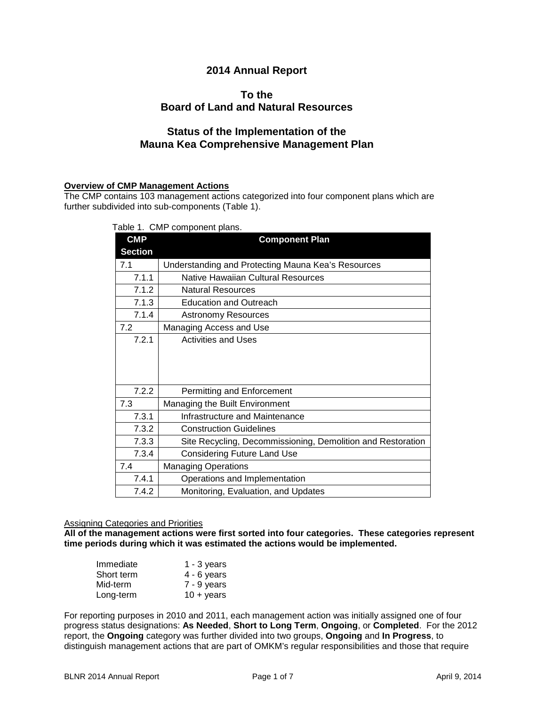# **2014 Annual Report**

## **To the Board of Land and Natural Resources**

# **Status of the Implementation of the Mauna Kea Comprehensive Management Plan**

#### **Overview of CMP Management Actions**

The CMP contains 103 management actions categorized into four component plans which are further subdivided into sub-components (Table 1).

|  |  | Table 1. CMP component plans. |  |
|--|--|-------------------------------|--|
|--|--|-------------------------------|--|

| <b>CMP</b>     | <b>Component Plan</b>                                       |
|----------------|-------------------------------------------------------------|
| <b>Section</b> |                                                             |
| 7.1            | Understanding and Protecting Mauna Kea's Resources          |
| 7.1.1          | <b>Native Hawaiian Cultural Resources</b>                   |
| 7.1.2          | Natural Resources                                           |
| 7.1.3          | <b>Education and Outreach</b>                               |
| 7.1.4          | <b>Astronomy Resources</b>                                  |
| 7.2            | Managing Access and Use                                     |
| 7.2.1          | <b>Activities and Uses</b>                                  |
|                |                                                             |
|                |                                                             |
|                |                                                             |
| 7.2.2          | Permitting and Enforcement                                  |
| 7.3            | Managing the Built Environment                              |
| 7.3.1          | Infrastructure and Maintenance                              |
| 7.3.2          | <b>Construction Guidelines</b>                              |
| 7.3.3          | Site Recycling, Decommissioning, Demolition and Restoration |
| 7.3.4          | <b>Considering Future Land Use</b>                          |
| 7.4            | <b>Managing Operations</b>                                  |
| 7.4.1          | Operations and Implementation                               |
| 7.4.2          | Monitoring, Evaluation, and Updates                         |

#### Assigning Categories and Priorities

**All of the management actions were first sorted into four categories. These categories represent time periods during which it was estimated the actions would be implemented.**

| Immediate  | 1 - $3$ years         |
|------------|-----------------------|
| Short term | $4 - 6$ years         |
| Mid-term   | $7 - 9$ years         |
| Long-term  | $10 + \mathrm{years}$ |

For reporting purposes in 2010 and 2011, each management action was initially assigned one of four progress status designations: **As Needed**, **Short to Long Term**, **Ongoing**, or **Completed**. For the 2012 report, the **Ongoing** category was further divided into two groups, **Ongoing** and **In Progress**, to distinguish management actions that are part of OMKM's regular responsibilities and those that require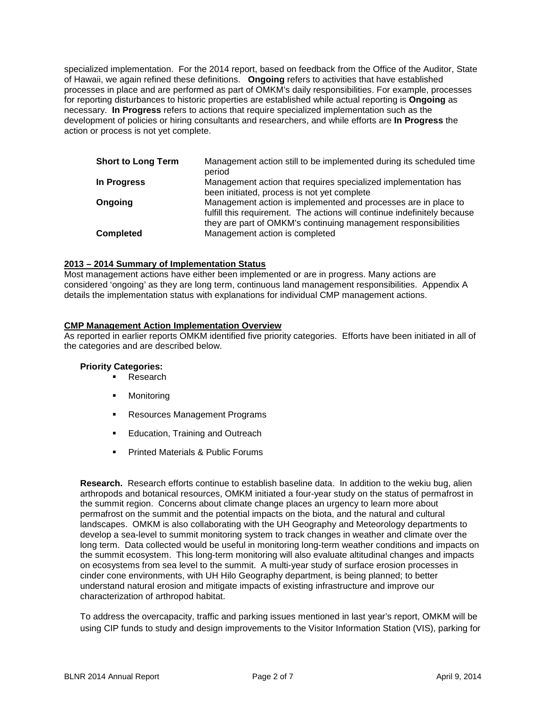specialized implementation. For the 2014 report, based on feedback from the Office of the Auditor, State of Hawaii, we again refined these definitions. **Ongoing** refers to activities that have established processes in place and are performed as part of OMKM's daily responsibilities. For example, processes for reporting disturbances to historic properties are established while actual reporting is **Ongoing** as necessary. **In Progress** refers to actions that require specialized implementation such as the development of policies or hiring consultants and researchers, and while efforts are **In Progress** the action or process is not yet complete.

| <b>Short to Long Term</b> | Management action still to be implemented during its scheduled time<br>period                                                                                                                                |
|---------------------------|--------------------------------------------------------------------------------------------------------------------------------------------------------------------------------------------------------------|
| In Progress               | Management action that requires specialized implementation has<br>been initiated, process is not yet complete                                                                                                |
| Ongoing                   | Management action is implemented and processes are in place to<br>fulfill this requirement. The actions will continue indefinitely because<br>they are part of OMKM's continuing management responsibilities |
| <b>Completed</b>          | Management action is completed                                                                                                                                                                               |

#### **2013 – 2014 Summary of Implementation Status**

Most management actions have either been implemented or are in progress. Many actions are considered 'ongoing' as they are long term, continuous land management responsibilities. Appendix A details the implementation status with explanations for individual CMP management actions.

#### **CMP Management Action Implementation Overview**

As reported in earlier reports OMKM identified five priority categories. Efforts have been initiated in all of the categories and are described below.

#### **Priority Categories:**

- **Research**
- **Monitoring**
- Resources Management Programs
- Education, Training and Outreach
- **Printed Materials & Public Forums**

**Research.** Research efforts continue to establish baseline data. In addition to the wekiu bug, alien arthropods and botanical resources, OMKM initiated a four-year study on the status of permafrost in the summit region. Concerns about climate change places an urgency to learn more about permafrost on the summit and the potential impacts on the biota, and the natural and cultural landscapes. OMKM is also collaborating with the UH Geography and Meteorology departments to develop a sea-level to summit monitoring system to track changes in weather and climate over the long term. Data collected would be useful in monitoring long-term weather conditions and impacts on the summit ecosystem. This long-term monitoring will also evaluate altitudinal changes and impacts on ecosystems from sea level to the summit. A multi-year study of surface erosion processes in cinder cone environments, with UH Hilo Geography department, is being planned; to better understand natural erosion and mitigate impacts of existing infrastructure and improve our characterization of arthropod habitat.

To address the overcapacity, traffic and parking issues mentioned in last year's report, OMKM will be using CIP funds to study and design improvements to the Visitor Information Station (VIS), parking for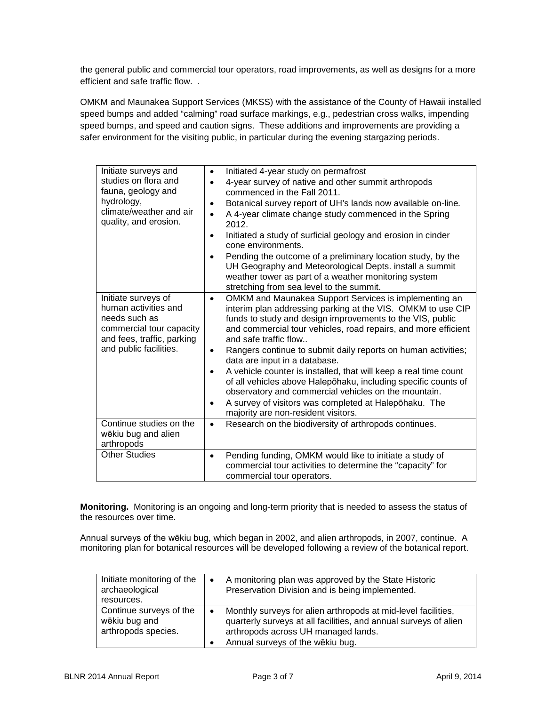the general public and commercial tour operators, road improvements, as well as designs for a more efficient and safe traffic flow. .

OMKM and Maunakea Support Services (MKSS) with the assistance of the County of Hawaii installed speed bumps and added "calming" road surface markings, e.g., pedestrian cross walks, impending speed bumps, and speed and caution signs. These additions and improvements are providing a safer environment for the visiting public, in particular during the evening stargazing periods.

| Initiate surveys and<br>studies on flora and<br>fauna, geology and<br>hydrology,<br>climate/weather and air<br>quality, and erosion.             | Initiated 4-year study on permafrost<br>$\bullet$<br>4-year survey of native and other summit arthropods<br>commenced in the Fall 2011.<br>Botanical survey report of UH's lands now available on-line.<br>٠<br>A 4-year climate change study commenced in the Spring<br>2012.<br>Initiated a study of surficial geology and erosion in cinder<br>$\bullet$<br>cone environments.<br>Pending the outcome of a preliminary location study, by the<br>UH Geography and Meteorological Depts. install a summit<br>weather tower as part of a weather monitoring system<br>stretching from sea level to the summit.                                                                                                     |
|--------------------------------------------------------------------------------------------------------------------------------------------------|---------------------------------------------------------------------------------------------------------------------------------------------------------------------------------------------------------------------------------------------------------------------------------------------------------------------------------------------------------------------------------------------------------------------------------------------------------------------------------------------------------------------------------------------------------------------------------------------------------------------------------------------------------------------------------------------------------------------|
| Initiate surveys of<br>human activities and<br>needs such as<br>commercial tour capacity<br>and fees, traffic, parking<br>and public facilities. | OMKM and Maunakea Support Services is implementing an<br>$\bullet$<br>interim plan addressing parking at the VIS. OMKM to use CIP<br>funds to study and design improvements to the VIS, public<br>and commercial tour vehicles, road repairs, and more efficient<br>and safe traffic flow<br>Rangers continue to submit daily reports on human activities;<br>$\bullet$<br>data are input in a database.<br>A vehicle counter is installed, that will keep a real time count<br>of all vehicles above Halepohaku, including specific counts of<br>observatory and commercial vehicles on the mountain.<br>A survey of visitors was completed at Halepohaku. The<br>$\bullet$<br>majority are non-resident visitors. |
| Continue studies on the<br>wēkiu bug and alien<br>arthropods                                                                                     | Research on the biodiversity of arthropods continues.<br>$\bullet$                                                                                                                                                                                                                                                                                                                                                                                                                                                                                                                                                                                                                                                  |
| <b>Other Studies</b>                                                                                                                             | Pending funding, OMKM would like to initiate a study of<br>$\bullet$<br>commercial tour activities to determine the "capacity" for<br>commercial tour operators.                                                                                                                                                                                                                                                                                                                                                                                                                                                                                                                                                    |

**Monitoring.** Monitoring is an ongoing and long-term priority that is needed to assess the status of the resources over time.

Annual surveys of the wēkiu bug, which began in 2002, and alien arthropods, in 2007, continue. A monitoring plan for botanical resources will be developed following a review of the botanical report.

| Initiate monitoring of the<br>archaeological<br>resources.      | l e       | A monitoring plan was approved by the State Historic<br>Preservation Division and is being implemented.                                                                                                      |
|-----------------------------------------------------------------|-----------|--------------------------------------------------------------------------------------------------------------------------------------------------------------------------------------------------------------|
| Continue surveys of the<br>wēkiu bug and<br>arthropods species. | $\bullet$ | Monthly surveys for alien arthropods at mid-level facilities,<br>quarterly surveys at all facilities, and annual surveys of alien<br>arthropods across UH managed lands.<br>Annual surveys of the wekiu bug. |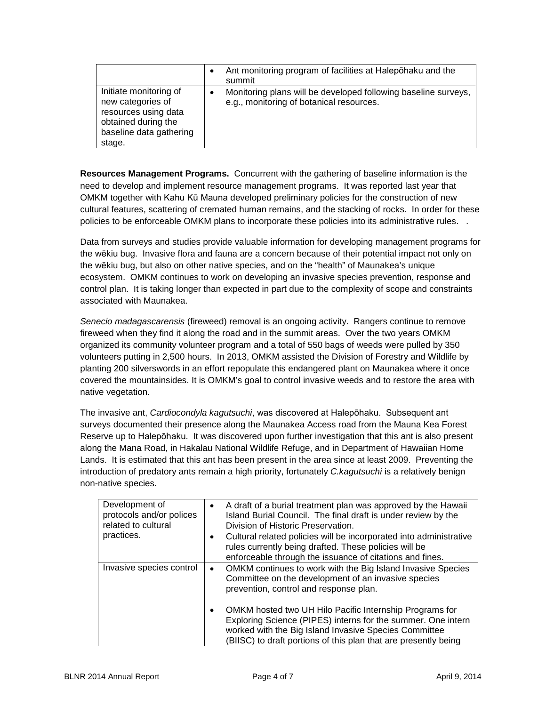|                                                                                                                                 | Ant monitoring program of facilities at Haleponaku and the<br>summit                                       |
|---------------------------------------------------------------------------------------------------------------------------------|------------------------------------------------------------------------------------------------------------|
| Initiate monitoring of<br>new categories of<br>resources using data<br>obtained during the<br>baseline data gathering<br>stage. | Monitoring plans will be developed following baseline surveys,<br>e.g., monitoring of botanical resources. |

**Resources Management Programs.** Concurrent with the gathering of baseline information is the need to develop and implement resource management programs. It was reported last year that OMKM together with Kahu Kū Mauna developed preliminary policies for the construction of new cultural features, scattering of cremated human remains, and the stacking of rocks. In order for these policies to be enforceable OMKM plans to incorporate these policies into its administrative rules. .

Data from surveys and studies provide valuable information for developing management programs for the wēkiu bug. Invasive flora and fauna are a concern because of their potential impact not only on the wēkiu bug, but also on other native species, and on the "health" of Maunakea's unique ecosystem. OMKM continues to work on developing an invasive species prevention, response and control plan. It is taking longer than expected in part due to the complexity of scope and constraints associated with Maunakea.

*Senecio madagascarensis* (fireweed) removal is an ongoing activity. Rangers continue to remove fireweed when they find it along the road and in the summit areas. Over the two years OMKM organized its community volunteer program and a total of 550 bags of weeds were pulled by 350 volunteers putting in 2,500 hours. In 2013, OMKM assisted the Division of Forestry and Wildlife by planting 200 silverswords in an effort repopulate this endangered plant on Maunakea where it once covered the mountainsides. It is OMKM's goal to control invasive weeds and to restore the area with native vegetation.

The invasive ant, *Cardiocondyla kagutsuchi*, was discovered at Halepōhaku. Subsequent ant surveys documented their presence along the Maunakea Access road from the Mauna Kea Forest Reserve up to Halepōhaku. It was discovered upon further investigation that this ant is also present along the Mana Road, in Hakalau National Wildlife Refuge, and in Department of Hawaiian Home Lands. It is estimated that this ant has been present in the area since at least 2009. Preventing the introduction of predatory ants remain a high priority, fortunately *C.kagutsuchi* is a relatively benign non-native species.

| Development of<br>protocols and/or polices<br>related to cultural<br>practices. | $\bullet$ | A draft of a burial treatment plan was approved by the Hawaii<br>Island Burial Council. The final draft is under review by the<br>Division of Historic Preservation.<br>Cultural related policies will be incorporated into administrative<br>rules currently being drafted. These policies will be<br>enforceable through the issuance of citations and fines. |
|---------------------------------------------------------------------------------|-----------|-----------------------------------------------------------------------------------------------------------------------------------------------------------------------------------------------------------------------------------------------------------------------------------------------------------------------------------------------------------------|
| Invasive species control                                                        | $\bullet$ | OMKM continues to work with the Big Island Invasive Species<br>Committee on the development of an invasive species<br>prevention, control and response plan.                                                                                                                                                                                                    |
|                                                                                 |           | OMKM hosted two UH Hilo Pacific Internship Programs for<br>Exploring Science (PIPES) interns for the summer. One intern<br>worked with the Big Island Invasive Species Committee<br>(BIISC) to draft portions of this plan that are presently being                                                                                                             |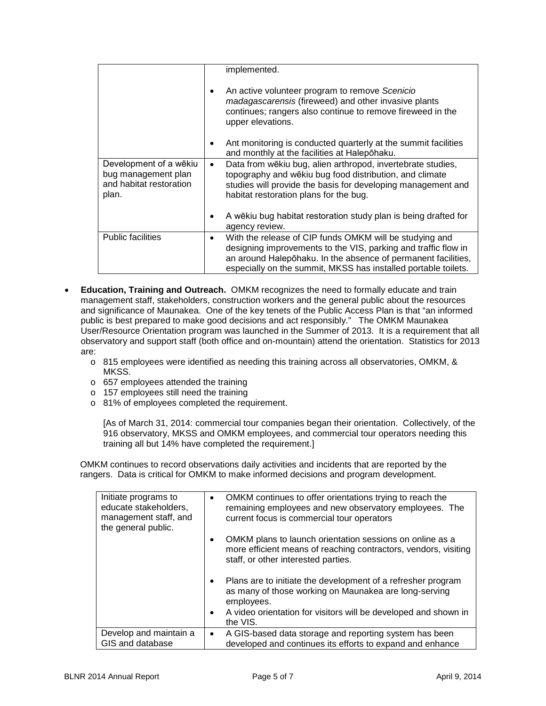|                                                                                   |           | implemented.                                                                                                                                                                                                                                                 |
|-----------------------------------------------------------------------------------|-----------|--------------------------------------------------------------------------------------------------------------------------------------------------------------------------------------------------------------------------------------------------------------|
|                                                                                   | ٠         | An active volunteer program to remove Scenicio<br>madagascarensis (fireweed) and other invasive plants<br>continues; rangers also continue to remove fireweed in the<br>upper elevations.                                                                    |
|                                                                                   | ٠         | Ant monitoring is conducted quarterly at the summit facilities<br>and monthly at the facilities at Halepohaku.                                                                                                                                               |
| Development of a wēkiu<br>bug management plan<br>and habitat restoration<br>plan. | $\bullet$ | Data from wēkiu bug, alien arthropod, invertebrate studies,<br>topography and wēkiu bug food distribution, and climate<br>studies will provide the basis for developing management and<br>habitat restoration plans for the bug.                             |
|                                                                                   | ٠         | A wēkiu bug habitat restoration study plan is being drafted for<br>agency review.                                                                                                                                                                            |
| <b>Public facilities</b>                                                          | ٠         | With the release of CIP funds OMKM will be studying and<br>designing improvements to the VIS, parking and traffic flow in<br>an around Halepōhaku. In the absence of permanent facilities,<br>especially on the summit, MKSS has installed portable toilets. |

- **Education, Training and Outreach.** OMKM recognizes the need to formally educate and train management staff, stakeholders, construction workers and the general public about the resources and significance of Maunakea. One of the key tenets of the Public Access Plan is that "an informed public is best prepared to make good decisions and act responsibly." The OMKM Maunakea User/Resource Orientation program was launched in the Summer of 2013. It is a requirement that all observatory and support staff (both office and on-mountain) attend the orientation. Statistics for 2013 are:
	- o 815 employees were identified as needing this training across all observatories, OMKM, & MKSS.
	- o 657 employees attended the training
	- o 157 employees still need the training
	- o 81% of employees completed the requirement.

[As of March 31, 2014: commercial tour companies began their orientation. Collectively, of the 916 observatory, MKSS and OMKM employees, and commercial tour operators needing this training all but 14% have completed the requirement.]

OMKM continues to record observations daily activities and incidents that are reported by the rangers. Data is critical for OMKM to make informed decisions and program development.

| Initiate programs to<br>educate stakeholders,<br>management staff, and<br>the general public. | $\bullet$ | OMKM continues to offer orientations trying to reach the<br>remaining employees and new observatory employees. The<br>current focus is commercial tour operators                                       |
|-----------------------------------------------------------------------------------------------|-----------|--------------------------------------------------------------------------------------------------------------------------------------------------------------------------------------------------------|
|                                                                                               |           | OMKM plans to launch orientation sessions on online as a<br>more efficient means of reaching contractors, vendors, visiting<br>staff, or other interested parties.                                     |
|                                                                                               |           | Plans are to initiate the development of a refresher program<br>as many of those working on Maunakea are long-serving<br>employees.<br>A video orientation for visitors will be developed and shown in |
|                                                                                               |           | the VIS.                                                                                                                                                                                               |
| Develop and maintain a<br>GIS and database                                                    | $\bullet$ | A GIS-based data storage and reporting system has been<br>developed and continues its efforts to expand and enhance                                                                                    |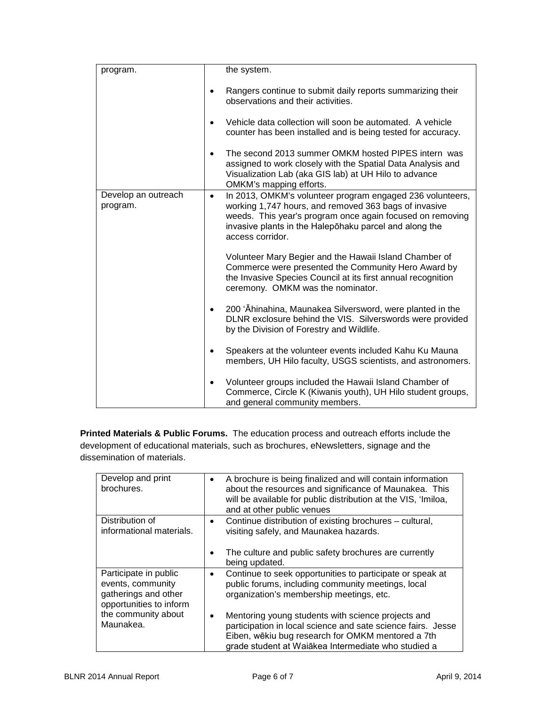| program.                        |           | the system.                                                                                                                                                                                                                                                   |
|---------------------------------|-----------|---------------------------------------------------------------------------------------------------------------------------------------------------------------------------------------------------------------------------------------------------------------|
|                                 |           | Rangers continue to submit daily reports summarizing their<br>observations and their activities.                                                                                                                                                              |
|                                 |           | Vehicle data collection will soon be automated. A vehicle<br>counter has been installed and is being tested for accuracy.                                                                                                                                     |
|                                 |           | The second 2013 summer OMKM hosted PIPES intern was<br>assigned to work closely with the Spatial Data Analysis and<br>Visualization Lab (aka GIS lab) at UH Hilo to advance<br>OMKM's mapping efforts.                                                        |
| Develop an outreach<br>program. | $\bullet$ | In 2013, OMKM's volunteer program engaged 236 volunteers,<br>working 1,747 hours, and removed 363 bags of invasive<br>weeds. This year's program once again focused on removing<br>invasive plants in the Halepohaku parcel and along the<br>access corridor. |
|                                 |           | Volunteer Mary Begier and the Hawaii Island Chamber of<br>Commerce were presented the Community Hero Award by<br>the Invasive Species Council at its first annual recognition<br>ceremony. OMKM was the nominator.                                            |
|                                 |           | 200 'Āhinahina, Maunakea Silversword, were planted in the<br>DLNR exclosure behind the VIS. Silverswords were provided<br>by the Division of Forestry and Wildlife.                                                                                           |
|                                 | ٠         | Speakers at the volunteer events included Kahu Ku Mauna<br>members, UH Hilo faculty, USGS scientists, and astronomers.                                                                                                                                        |
|                                 |           | Volunteer groups included the Hawaii Island Chamber of<br>Commerce, Circle K (Kiwanis youth), UH Hilo student groups,<br>and general community members.                                                                                                       |

**Printed Materials & Public Forums.** The education process and outreach efforts include the development of educational materials, such as brochures, eNewsletters, signage and the dissemination of materials.

| Develop and print<br>brochures.                                                               | A brochure is being finalized and will contain information<br>about the resources and significance of Maunakea. This<br>will be available for public distribution at the VIS, 'Imiloa,<br>and at other public venues           |
|-----------------------------------------------------------------------------------------------|--------------------------------------------------------------------------------------------------------------------------------------------------------------------------------------------------------------------------------|
| Distribution of<br>informational materials.                                                   | Continue distribution of existing brochures - cultural,<br>$\bullet$<br>visiting safely, and Maunakea hazards.<br>The culture and public safety brochures are currently<br>being updated.                                      |
| Participate in public<br>events, community<br>gatherings and other<br>opportunities to inform | Continue to seek opportunities to participate or speak at<br>$\bullet$<br>public forums, including community meetings, local<br>organization's membership meetings, etc.                                                       |
| the community about<br>Maunakea.                                                              | Mentoring young students with science projects and<br>participation in local science and sate science fairs. Jesse<br>Eiben, wēkiu bug research for OMKM mentored a 7th<br>grade student at Waiākea Intermediate who studied a |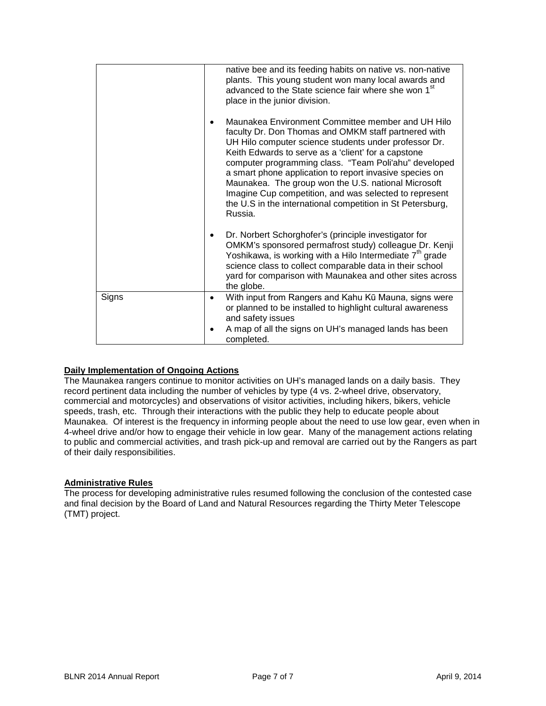|       | native bee and its feeding habits on native vs. non-native<br>plants. This young student won many local awards and<br>advanced to the State science fair where she won 1 <sup>st</sup><br>place in the junior division.                                                                                                                                                                                                                                                                                                                 |
|-------|-----------------------------------------------------------------------------------------------------------------------------------------------------------------------------------------------------------------------------------------------------------------------------------------------------------------------------------------------------------------------------------------------------------------------------------------------------------------------------------------------------------------------------------------|
|       | Maunakea Environment Committee member and UH Hilo<br>faculty Dr. Don Thomas and OMKM staff partnered with<br>UH Hilo computer science students under professor Dr.<br>Keith Edwards to serve as a 'client' for a capstone<br>computer programming class. "Team Poli'ahu" developed<br>a smart phone application to report invasive species on<br>Maunakea. The group won the U.S. national Microsoft<br>Imagine Cup competition, and was selected to represent<br>the U.S in the international competition in St Petersburg,<br>Russia. |
|       | Dr. Norbert Schorghofer's (principle investigator for<br>OMKM's sponsored permafrost study) colleague Dr. Kenji<br>Yoshikawa, is working with a Hilo Intermediate 7 <sup>th</sup> grade<br>science class to collect comparable data in their school<br>yard for comparison with Maunakea and other sites across<br>the globe.                                                                                                                                                                                                           |
| Signs | With input from Rangers and Kahu Kū Mauna, signs were<br>or planned to be installed to highlight cultural awareness<br>and safety issues                                                                                                                                                                                                                                                                                                                                                                                                |
|       | A map of all the signs on UH's managed lands has been<br>completed.                                                                                                                                                                                                                                                                                                                                                                                                                                                                     |

#### **Daily Implementation of Ongoing Actions**

The Maunakea rangers continue to monitor activities on UH's managed lands on a daily basis. They record pertinent data including the number of vehicles by type (4 vs. 2-wheel drive, observatory, commercial and motorcycles) and observations of visitor activities, including hikers, bikers, vehicle speeds, trash, etc. Through their interactions with the public they help to educate people about Maunakea. Of interest is the frequency in informing people about the need to use low gear, even when in 4-wheel drive and/or how to engage their vehicle in low gear. Many of the management actions relating to public and commercial activities, and trash pick-up and removal are carried out by the Rangers as part of their daily responsibilities.

#### **Administrative Rules**

The process for developing administrative rules resumed following the conclusion of the contested case and final decision by the Board of Land and Natural Resources regarding the Thirty Meter Telescope (TMT) project.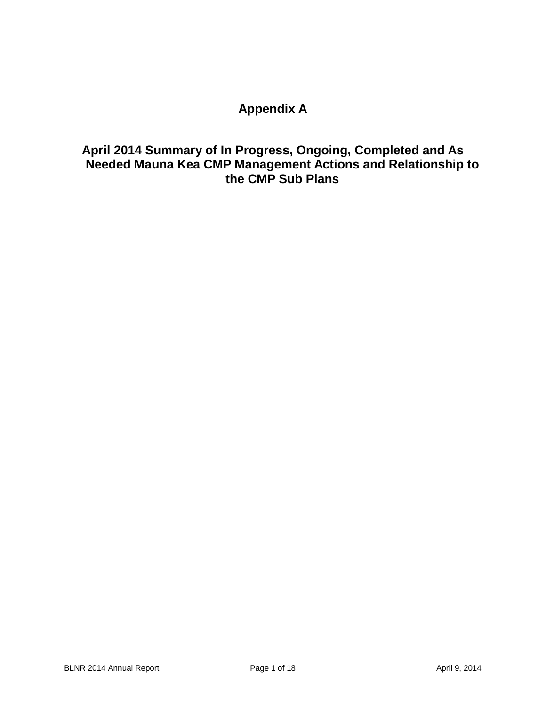# **Appendix A**

# **April 2014 Summary of In Progress, Ongoing, Completed and As Needed Mauna Kea CMP Management Actions and Relationship to the CMP Sub Plans**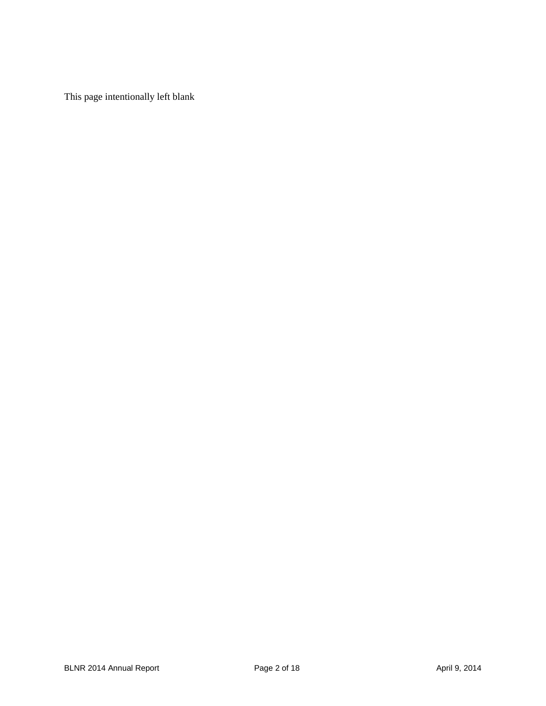This page intentionally left blank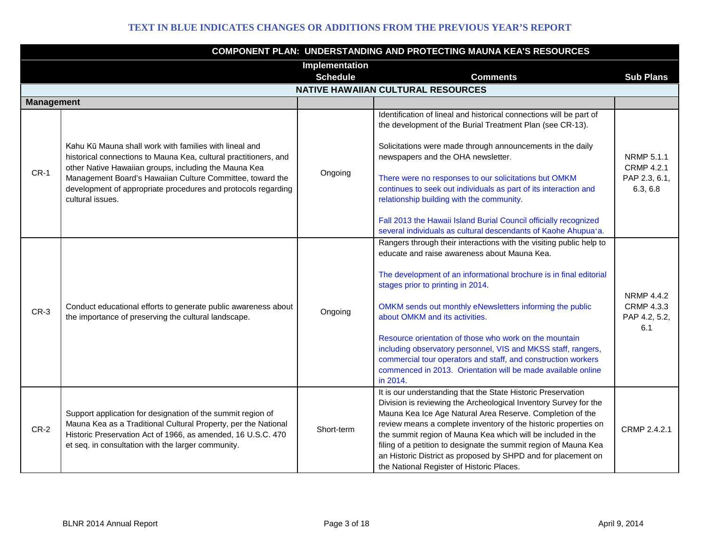|                   | <b>COMPONENT PLAN: UNDERSTANDING AND PROTECTING MAUNA KEA'S RESOURCES</b>                                                                                                                                                                           |                                   |                                                                                                                                                                                                                                                                                                                                                                                                                                                                                                                    |                                                  |  |
|-------------------|-----------------------------------------------------------------------------------------------------------------------------------------------------------------------------------------------------------------------------------------------------|-----------------------------------|--------------------------------------------------------------------------------------------------------------------------------------------------------------------------------------------------------------------------------------------------------------------------------------------------------------------------------------------------------------------------------------------------------------------------------------------------------------------------------------------------------------------|--------------------------------------------------|--|
|                   |                                                                                                                                                                                                                                                     | Implementation<br><b>Schedule</b> | <b>Comments</b>                                                                                                                                                                                                                                                                                                                                                                                                                                                                                                    | <b>Sub Plans</b>                                 |  |
|                   |                                                                                                                                                                                                                                                     |                                   | <b>NATIVE HAWAIIAN CULTURAL RESOURCES</b>                                                                                                                                                                                                                                                                                                                                                                                                                                                                          |                                                  |  |
| <b>Management</b> |                                                                                                                                                                                                                                                     |                                   |                                                                                                                                                                                                                                                                                                                                                                                                                                                                                                                    |                                                  |  |
|                   |                                                                                                                                                                                                                                                     |                                   | Identification of lineal and historical connections will be part of<br>the development of the Burial Treatment Plan (see CR-13).                                                                                                                                                                                                                                                                                                                                                                                   |                                                  |  |
| $CR-1$            | Kahu Kū Mauna shall work with families with lineal and<br>historical connections to Mauna Kea, cultural practitioners, and<br>other Native Hawaiian groups, including the Mauna Kea<br>Management Board's Hawaiian Culture Committee, toward the    | Ongoing                           | Solicitations were made through announcements in the daily<br>newspapers and the OHA newsletter.<br>There were no responses to our solicitations but OMKM                                                                                                                                                                                                                                                                                                                                                          | NRMP 5.1.1<br><b>CRMP 4.2.1</b><br>PAP 2.3, 6.1, |  |
|                   | development of appropriate procedures and protocols regarding<br>cultural issues.                                                                                                                                                                   |                                   | continues to seek out individuals as part of its interaction and<br>relationship building with the community.                                                                                                                                                                                                                                                                                                                                                                                                      | 6.3, 6.8                                         |  |
|                   |                                                                                                                                                                                                                                                     |                                   | Fall 2013 the Hawaii Island Burial Council officially recognized<br>several individuals as cultural descendants of Kaohe Ahupua'a.                                                                                                                                                                                                                                                                                                                                                                                 |                                                  |  |
|                   |                                                                                                                                                                                                                                                     |                                   | Rangers through their interactions with the visiting public help to<br>educate and raise awareness about Mauna Kea.<br>The development of an informational brochure is in final editorial                                                                                                                                                                                                                                                                                                                          |                                                  |  |
| $CR-3$            | Conduct educational efforts to generate public awareness about<br>the importance of preserving the cultural landscape.                                                                                                                              | Ongoing                           | stages prior to printing in 2014.<br>OMKM sends out monthly eNewsletters informing the public<br>about OMKM and its activities.                                                                                                                                                                                                                                                                                                                                                                                    | <b>NRMP 4.4.2</b><br>CRMP 4.3.3<br>PAP 4.2, 5.2, |  |
|                   |                                                                                                                                                                                                                                                     |                                   | Resource orientation of those who work on the mountain<br>including observatory personnel, VIS and MKSS staff, rangers,<br>commercial tour operators and staff, and construction workers<br>commenced in 2013. Orientation will be made available online<br>in 2014.                                                                                                                                                                                                                                               | 6.1                                              |  |
| $CR-2$            | Support application for designation of the summit region of<br>Mauna Kea as a Traditional Cultural Property, per the National<br>Historic Preservation Act of 1966, as amended, 16 U.S.C. 470<br>et seq. in consultation with the larger community. | Short-term                        | It is our understanding that the State Historic Preservation<br>Division is reviewing the Archeological Inventory Survey for the<br>Mauna Kea Ice Age Natural Area Reserve. Completion of the<br>review means a complete inventory of the historic properties on<br>the summit region of Mauna Kea which will be included in the<br>filing of a petition to designate the summit region of Mauna Kea<br>an Historic District as proposed by SHPD and for placement on<br>the National Register of Historic Places. | CRMP 2.4.2.1                                     |  |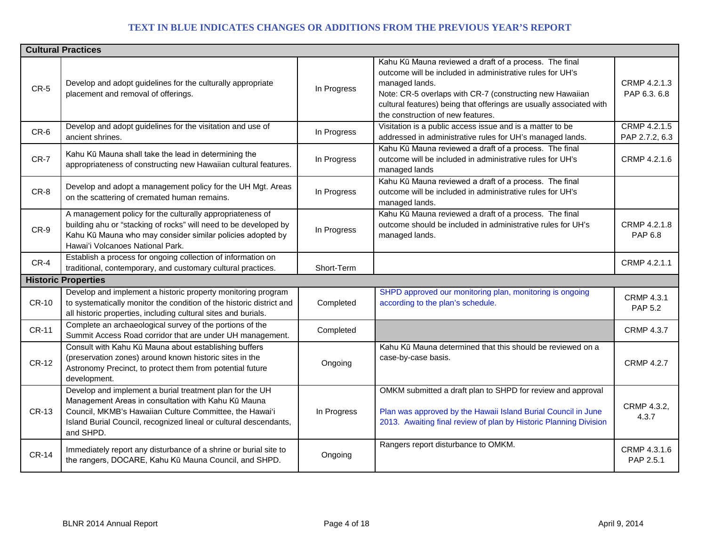|              | <b>Cultural Practices</b>                                                                                                                                                                                                                                    |             |                                                                                                                                                                                                                                                                                                               |                                |
|--------------|--------------------------------------------------------------------------------------------------------------------------------------------------------------------------------------------------------------------------------------------------------------|-------------|---------------------------------------------------------------------------------------------------------------------------------------------------------------------------------------------------------------------------------------------------------------------------------------------------------------|--------------------------------|
| CR-5         | Develop and adopt guidelines for the culturally appropriate<br>placement and removal of offerings.                                                                                                                                                           | In Progress | Kahu Kū Mauna reviewed a draft of a process. The final<br>outcome will be included in administrative rules for UH's<br>managed lands.<br>Note: CR-5 overlaps with CR-7 (constructing new Hawaiian<br>cultural features) being that offerings are usually associated with<br>the construction of new features. | CRMP 4.2.1.3<br>PAP 6.3. 6.8   |
| CR-6         | Develop and adopt guidelines for the visitation and use of<br>ancient shrines.                                                                                                                                                                               | In Progress | Visitation is a public access issue and is a matter to be<br>addressed in administrative rules for UH's managed lands.                                                                                                                                                                                        | CRMP 4.2.1.5<br>PAP 2.7.2, 6.3 |
| $CR-7$       | Kahu Kū Mauna shall take the lead in determining the<br>appropriateness of constructing new Hawaiian cultural features.                                                                                                                                      | In Progress | Kahu Kū Mauna reviewed a draft of a process. The final<br>outcome will be included in administrative rules for UH's<br>managed lands                                                                                                                                                                          | CRMP 4.2.1.6                   |
| CR-8         | Develop and adopt a management policy for the UH Mgt. Areas<br>on the scattering of cremated human remains.                                                                                                                                                  | In Progress | Kahu Kū Mauna reviewed a draft of a process. The final<br>outcome will be included in administrative rules for UH's<br>managed lands.                                                                                                                                                                         |                                |
| CR-9         | A management policy for the culturally appropriateness of<br>building ahu or "stacking of rocks" will need to be developed by<br>Kahu Kū Mauna who may consider similar policies adopted by<br>Hawai'i Volcanoes National Park.                              | In Progress | Kahu Kū Mauna reviewed a draft of a process. The final<br>outcome should be included in administrative rules for UH's<br>managed lands.                                                                                                                                                                       | CRMP 4.2.1.8<br>PAP 6.8        |
| $CR-4$       | Establish a process for ongoing collection of information on<br>traditional, contemporary, and customary cultural practices.                                                                                                                                 | Short-Term  |                                                                                                                                                                                                                                                                                                               | CRMP 4.2.1.1                   |
|              | <b>Historic Properties</b>                                                                                                                                                                                                                                   |             |                                                                                                                                                                                                                                                                                                               |                                |
| <b>CR-10</b> | Develop and implement a historic property monitoring program<br>to systematically monitor the condition of the historic district and<br>all historic properties, including cultural sites and burials.                                                       | Completed   | SHPD approved our monitoring plan, monitoring is ongoing<br>according to the plan's schedule.                                                                                                                                                                                                                 | CRMP 4.3.1<br><b>PAP 5.2</b>   |
| <b>CR-11</b> | Complete an archaeological survey of the portions of the<br>Summit Access Road corridor that are under UH management.                                                                                                                                        | Completed   |                                                                                                                                                                                                                                                                                                               | <b>CRMP 4.3.7</b>              |
| <b>CR-12</b> | Consult with Kahu Kū Mauna about establishing buffers<br>(preservation zones) around known historic sites in the<br>Astronomy Precinct, to protect them from potential future<br>development.                                                                | Ongoing     | Kahu Kū Mauna determined that this should be reviewed on a<br>case-by-case basis.                                                                                                                                                                                                                             | <b>CRMP 4.2.7</b>              |
| $CR-13$      | Develop and implement a burial treatment plan for the UH<br>Management Areas in consultation with Kahu Kū Mauna<br>Council, MKMB's Hawaiian Culture Committee, the Hawai'i<br>Island Burial Council, recognized lineal or cultural descendants,<br>and SHPD. | In Progress | OMKM submitted a draft plan to SHPD for review and approval<br>Plan was approved by the Hawaii Island Burial Council in June<br>2013. Awaiting final review of plan by Historic Planning Division                                                                                                             | CRMP 4.3.2,<br>4.3.7           |
| <b>CR-14</b> | Immediately report any disturbance of a shrine or burial site to<br>the rangers, DOCARE, Kahu Kū Mauna Council, and SHPD.                                                                                                                                    | Ongoing     | Rangers report disturbance to OMKM.                                                                                                                                                                                                                                                                           | CRMP 4.3.1.6<br>PAP 2.5.1      |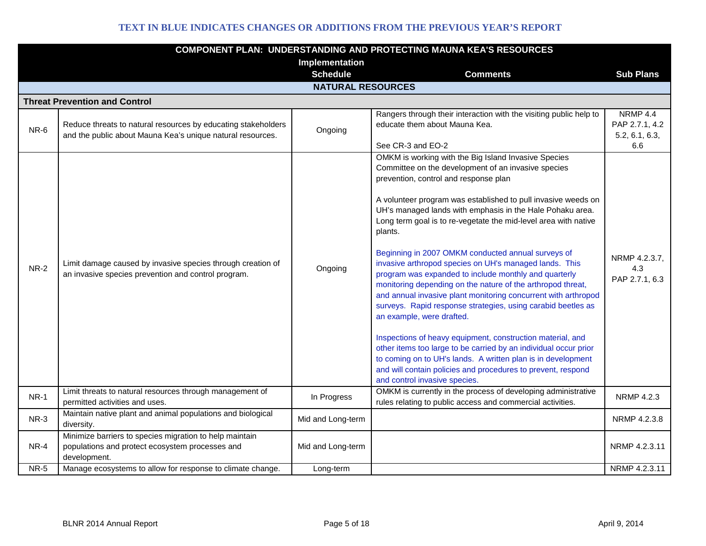|             | <b>COMPONENT PLAN: UNDERSTANDING AND PROTECTING MAUNA KEA'S RESOURCES</b>                                                   |                          |                                                                                                                                                                                                                                                                                                                                                                                                                                                                                                                                                                                                                                                                                                                                                                                                                                                                                                                                                                                                                                                                            |                                                                |  |
|-------------|-----------------------------------------------------------------------------------------------------------------------------|--------------------------|----------------------------------------------------------------------------------------------------------------------------------------------------------------------------------------------------------------------------------------------------------------------------------------------------------------------------------------------------------------------------------------------------------------------------------------------------------------------------------------------------------------------------------------------------------------------------------------------------------------------------------------------------------------------------------------------------------------------------------------------------------------------------------------------------------------------------------------------------------------------------------------------------------------------------------------------------------------------------------------------------------------------------------------------------------------------------|----------------------------------------------------------------|--|
|             |                                                                                                                             | Implementation           |                                                                                                                                                                                                                                                                                                                                                                                                                                                                                                                                                                                                                                                                                                                                                                                                                                                                                                                                                                                                                                                                            |                                                                |  |
|             |                                                                                                                             | <b>Schedule</b>          | <b>Comments</b>                                                                                                                                                                                                                                                                                                                                                                                                                                                                                                                                                                                                                                                                                                                                                                                                                                                                                                                                                                                                                                                            | <b>Sub Plans</b>                                               |  |
|             |                                                                                                                             | <b>NATURAL RESOURCES</b> |                                                                                                                                                                                                                                                                                                                                                                                                                                                                                                                                                                                                                                                                                                                                                                                                                                                                                                                                                                                                                                                                            |                                                                |  |
|             | <b>Threat Prevention and Control</b>                                                                                        |                          |                                                                                                                                                                                                                                                                                                                                                                                                                                                                                                                                                                                                                                                                                                                                                                                                                                                                                                                                                                                                                                                                            |                                                                |  |
| NR-6        | Reduce threats to natural resources by educating stakeholders<br>and the public about Mauna Kea's unique natural resources. | Ongoing                  | Rangers through their interaction with the visiting public help to<br>educate them about Mauna Kea.<br>See CR-3 and EO-2                                                                                                                                                                                                                                                                                                                                                                                                                                                                                                                                                                                                                                                                                                                                                                                                                                                                                                                                                   | NRMP <sub>4.4</sub><br>PAP 2.7.1, 4.2<br>5.2, 6.1, 6.3,<br>6.6 |  |
| <b>NR-2</b> | Limit damage caused by invasive species through creation of<br>an invasive species prevention and control program.          | Ongoing                  | OMKM is working with the Big Island Invasive Species<br>Committee on the development of an invasive species<br>prevention, control and response plan<br>A volunteer program was established to pull invasive weeds on<br>UH's managed lands with emphasis in the Hale Pohaku area.<br>Long term goal is to re-vegetate the mid-level area with native<br>plants.<br>Beginning in 2007 OMKM conducted annual surveys of<br>invasive arthropod species on UH's managed lands. This<br>program was expanded to include monthly and quarterly<br>monitoring depending on the nature of the arthropod threat,<br>and annual invasive plant monitoring concurrent with arthropod<br>surveys. Rapid response strategies, using carabid beetles as<br>an example, were drafted.<br>Inspections of heavy equipment, construction material, and<br>other items too large to be carried by an individual occur prior<br>to coming on to UH's lands. A written plan is in development<br>and will contain policies and procedures to prevent, respond<br>and control invasive species. | NRMP 4.2.3.7,<br>4.3<br>PAP 2.7.1, 6.3                         |  |
| <b>NR-1</b> | Limit threats to natural resources through management of<br>permitted activities and uses.                                  | In Progress              | OMKM is currently in the process of developing administrative<br>rules relating to public access and commercial activities.                                                                                                                                                                                                                                                                                                                                                                                                                                                                                                                                                                                                                                                                                                                                                                                                                                                                                                                                                | <b>NRMP 4.2.3</b>                                              |  |
| $NR-3$      | Maintain native plant and animal populations and biological<br>diversity.                                                   | Mid and Long-term        |                                                                                                                                                                                                                                                                                                                                                                                                                                                                                                                                                                                                                                                                                                                                                                                                                                                                                                                                                                                                                                                                            | NRMP 4.2.3.8                                                   |  |
| NR-4        | Minimize barriers to species migration to help maintain<br>populations and protect ecosystem processes and<br>development.  | Mid and Long-term        |                                                                                                                                                                                                                                                                                                                                                                                                                                                                                                                                                                                                                                                                                                                                                                                                                                                                                                                                                                                                                                                                            | NRMP 4.2.3.11                                                  |  |
| NR-5        | Manage ecosystems to allow for response to climate change.                                                                  | Long-term                |                                                                                                                                                                                                                                                                                                                                                                                                                                                                                                                                                                                                                                                                                                                                                                                                                                                                                                                                                                                                                                                                            | NRMP 4.2.3.11                                                  |  |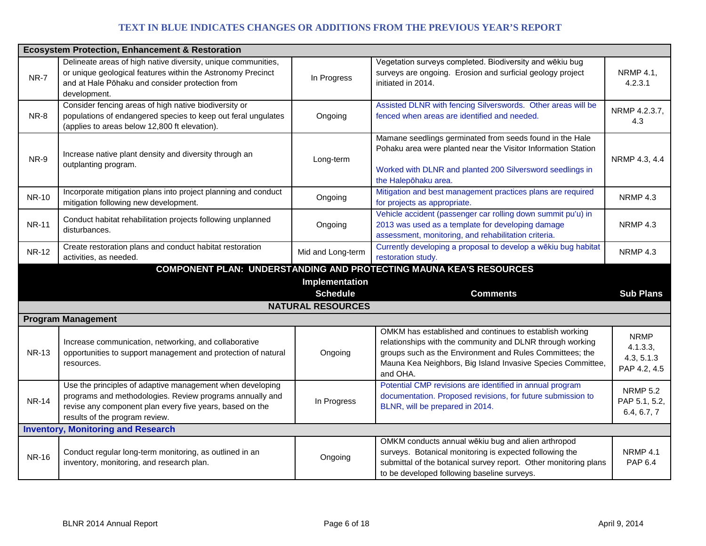|              | <b>Ecosystem Protection, Enhancement &amp; Restoration</b>                                                                                                                                                          |                                             |                                                                                                                                                                                                                                                             |                                                       |
|--------------|---------------------------------------------------------------------------------------------------------------------------------------------------------------------------------------------------------------------|---------------------------------------------|-------------------------------------------------------------------------------------------------------------------------------------------------------------------------------------------------------------------------------------------------------------|-------------------------------------------------------|
| NR-7         | Delineate areas of high native diversity, unique communities,<br>or unique geological features within the Astronomy Precinct<br>and at Hale Pōhaku and consider protection from<br>development.                     | In Progress                                 | Vegetation surveys completed. Biodiversity and wēkiu bug<br>surveys are ongoing. Erosion and surficial geology project<br>initiated in 2014.                                                                                                                | <b>NRMP 4.1,</b><br>4.2.3.1                           |
| NR-8         | Consider fencing areas of high native biodiversity or<br>populations of endangered species to keep out feral ungulates<br>(applies to areas below 12,800 ft elevation).                                             | Ongoing                                     | Assisted DLNR with fencing Silverswords. Other areas will be<br>fenced when areas are identified and needed.                                                                                                                                                | NRMP 4.2.3.7,<br>4.3                                  |
| NR-9         | Increase native plant density and diversity through an<br>outplanting program.                                                                                                                                      | Long-term                                   | Mamane seedlings germinated from seeds found in the Hale<br>Pohaku area were planted near the Visitor Information Station<br>Worked with DLNR and planted 200 Silversword seedlings in<br>the Halepōhaku area.                                              | NRMP 4.3, 4.4                                         |
| <b>NR-10</b> | Incorporate mitigation plans into project planning and conduct<br>mitigation following new development.                                                                                                             | Ongoing                                     | Mitigation and best management practices plans are required<br>for projects as appropriate.                                                                                                                                                                 | NRMP 4.3                                              |
| <b>NR-11</b> | Conduct habitat rehabilitation projects following unplanned<br>disturbances.                                                                                                                                        | Ongoing                                     | Vehicle accident (passenger car rolling down summit pu'u) in<br>2013 was used as a template for developing damage<br>assessment, monitoring, and rehabilitation criteria.                                                                                   | <b>NRMP 4.3</b>                                       |
| <b>NR-12</b> | Create restoration plans and conduct habitat restoration<br>activities, as needed.                                                                                                                                  | Mid and Long-term                           | Currently developing a proposal to develop a wēkiu bug habitat<br>restoration study.                                                                                                                                                                        | <b>NRMP 4.3</b>                                       |
|              |                                                                                                                                                                                                                     |                                             | <b>COMPONENT PLAN: UNDERSTANDING AND PROTECTING MAUNA KEA'S RESOURCES</b>                                                                                                                                                                                   |                                                       |
|              |                                                                                                                                                                                                                     | Implementation                              |                                                                                                                                                                                                                                                             |                                                       |
|              |                                                                                                                                                                                                                     | <b>Schedule</b><br><b>NATURAL RESOURCES</b> | <b>Comments</b>                                                                                                                                                                                                                                             | <b>Sub Plans</b>                                      |
|              | <b>Program Management</b>                                                                                                                                                                                           |                                             |                                                                                                                                                                                                                                                             |                                                       |
| <b>NR-13</b> | Increase communication, networking, and collaborative<br>opportunities to support management and protection of natural<br>resources.                                                                                | Ongoing                                     | OMKM has established and continues to establish working<br>relationships with the community and DLNR through working<br>groups such as the Environment and Rules Committees; the<br>Mauna Kea Neighbors, Big Island Invasive Species Committee,<br>and OHA. | <b>NRMP</b><br>4.1.3.3,<br>4.3, 5.1.3<br>PAP 4.2, 4.5 |
| <b>NR-14</b> | Use the principles of adaptive management when developing<br>programs and methodologies. Review programs annually and<br>revise any component plan every five years, based on the<br>results of the program review. | In Progress                                 | Potential CMP revisions are identified in annual program<br>documentation. Proposed revisions, for future submission to<br>BLNR, will be prepared in 2014.                                                                                                  | <b>NRMP 5.2</b><br>PAP 5.1, 5.2,<br>6.4, 6.7, 7       |
|              | <b>Inventory, Monitoring and Research</b>                                                                                                                                                                           |                                             |                                                                                                                                                                                                                                                             |                                                       |
|              |                                                                                                                                                                                                                     |                                             | OMKM conducts annual wēkiu bug and alien arthropod                                                                                                                                                                                                          |                                                       |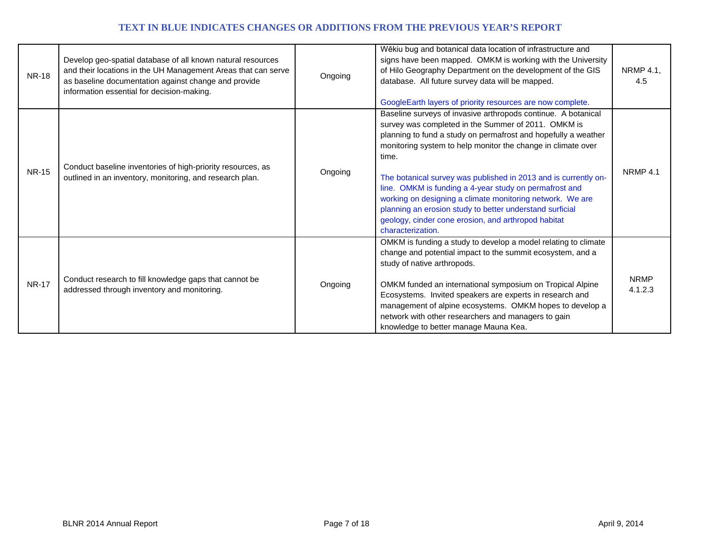| <b>NR-18</b> | Develop geo-spatial database of all known natural resources<br>and their locations in the UH Management Areas that can serve<br>as baseline documentation against change and provide<br>information essential for decision-making. | Ongoing | Wēkiu bug and botanical data location of infrastructure and<br>signs have been mapped. OMKM is working with the University<br>of Hilo Geography Department on the development of the GIS<br>database. All future survey data will be mapped.<br>GoogleEarth layers of priority resources are now complete.                                                                                                                                                                                                                                                                                        | <b>NRMP 4.1.</b><br>4.5 |
|--------------|------------------------------------------------------------------------------------------------------------------------------------------------------------------------------------------------------------------------------------|---------|---------------------------------------------------------------------------------------------------------------------------------------------------------------------------------------------------------------------------------------------------------------------------------------------------------------------------------------------------------------------------------------------------------------------------------------------------------------------------------------------------------------------------------------------------------------------------------------------------|-------------------------|
| <b>NR-15</b> | Conduct baseline inventories of high-priority resources, as<br>outlined in an inventory, monitoring, and research plan.                                                                                                            | Ongoing | Baseline surveys of invasive arthropods continue. A botanical<br>survey was completed in the Summer of 2011. OMKM is<br>planning to fund a study on permafrost and hopefully a weather<br>monitoring system to help monitor the change in climate over<br>time.<br>The botanical survey was published in 2013 and is currently on-<br>line. OMKM is funding a 4-year study on permafrost and<br>working on designing a climate monitoring network. We are<br>planning an erosion study to better understand surficial<br>geology, cinder cone erosion, and arthropod habitat<br>characterization. | NRMP 4.1                |
| <b>NR-17</b> | Conduct research to fill knowledge gaps that cannot be<br>addressed through inventory and monitoring.                                                                                                                              | Ongoing | OMKM is funding a study to develop a model relating to climate<br>change and potential impact to the summit ecosystem, and a<br>study of native arthropods.<br>OMKM funded an international symposium on Tropical Alpine<br>Ecosystems. Invited speakers are experts in research and<br>management of alpine ecosystems. OMKM hopes to develop a<br>network with other researchers and managers to gain<br>knowledge to better manage Mauna Kea.                                                                                                                                                  | <b>NRMP</b><br>4.1.2.3  |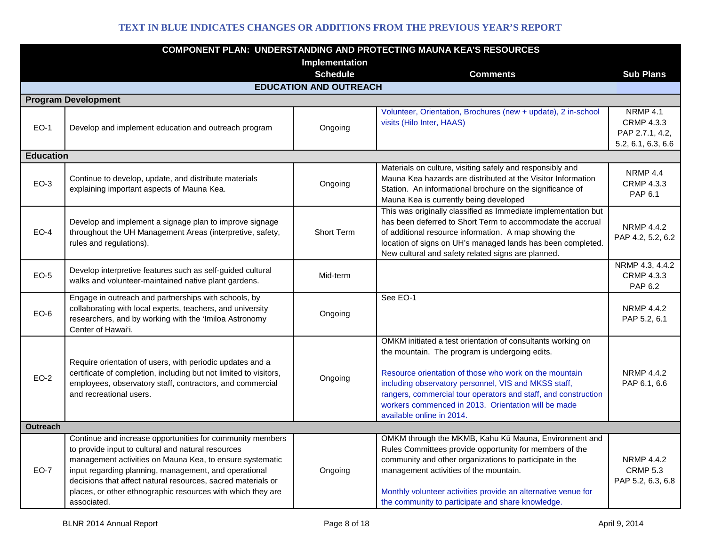| <b>COMPONENT PLAN: UNDERSTANDING AND PROTECTING MAUNA KEA'S RESOURCES</b> |                                                                                                                                                                                                                                                                                                                                                                                    |                               |                                                                                                                                                                                                                                                                                                                                                                                       |                                                                        |
|---------------------------------------------------------------------------|------------------------------------------------------------------------------------------------------------------------------------------------------------------------------------------------------------------------------------------------------------------------------------------------------------------------------------------------------------------------------------|-------------------------------|---------------------------------------------------------------------------------------------------------------------------------------------------------------------------------------------------------------------------------------------------------------------------------------------------------------------------------------------------------------------------------------|------------------------------------------------------------------------|
|                                                                           |                                                                                                                                                                                                                                                                                                                                                                                    | Implementation                |                                                                                                                                                                                                                                                                                                                                                                                       |                                                                        |
|                                                                           |                                                                                                                                                                                                                                                                                                                                                                                    | <b>Schedule</b>               | <b>Comments</b>                                                                                                                                                                                                                                                                                                                                                                       | <b>Sub Plans</b>                                                       |
|                                                                           |                                                                                                                                                                                                                                                                                                                                                                                    | <b>EDUCATION AND OUTREACH</b> |                                                                                                                                                                                                                                                                                                                                                                                       |                                                                        |
|                                                                           | <b>Program Development</b>                                                                                                                                                                                                                                                                                                                                                         |                               |                                                                                                                                                                                                                                                                                                                                                                                       |                                                                        |
| EO-1                                                                      | Develop and implement education and outreach program                                                                                                                                                                                                                                                                                                                               | Ongoing                       | Volunteer, Orientation, Brochures (new + update), 2 in-school<br>visits (Hilo Inter, HAAS)                                                                                                                                                                                                                                                                                            | NRMP 4.1<br><b>CRMP 4.3.3</b><br>PAP 2.7.1, 4.2,<br>5.2, 6.1, 6.3, 6.6 |
| <b>Education</b>                                                          |                                                                                                                                                                                                                                                                                                                                                                                    |                               |                                                                                                                                                                                                                                                                                                                                                                                       |                                                                        |
| $EO-3$                                                                    | Continue to develop, update, and distribute materials<br>explaining important aspects of Mauna Kea.                                                                                                                                                                                                                                                                                | Ongoing                       | Materials on culture, visiting safely and responsibly and<br>Mauna Kea hazards are distributed at the Visitor Information<br>Station. An informational brochure on the significance of<br>Mauna Kea is currently being developed                                                                                                                                                      | NRMP 4.4<br><b>CRMP 4.3.3</b><br><b>PAP 6.1</b>                        |
| $EO-4$                                                                    | Develop and implement a signage plan to improve signage<br>throughout the UH Management Areas (interpretive, safety,<br>rules and regulations).                                                                                                                                                                                                                                    | Short Term                    | This was originally classified as Immediate implementation but<br>has been deferred to Short Term to accommodate the accrual<br>of additional resource information. A map showing the<br>location of signs on UH's managed lands has been completed.<br>New cultural and safety related signs are planned.                                                                            | NRMP 4.4.2<br>PAP 4.2, 5.2, 6.2                                        |
| $EO-5$                                                                    | Develop interpretive features such as self-guided cultural<br>walks and volunteer-maintained native plant gardens.                                                                                                                                                                                                                                                                 | Mid-term                      |                                                                                                                                                                                                                                                                                                                                                                                       | NRMP 4.3, 4.4.2<br><b>CRMP 4.3.3</b><br>PAP 6.2                        |
| $EO-6$                                                                    | Engage in outreach and partnerships with schools, by<br>collaborating with local experts, teachers, and university<br>researchers, and by working with the 'Imiloa Astronomy<br>Center of Hawai'i.                                                                                                                                                                                 | Ongoing                       | See EO-1                                                                                                                                                                                                                                                                                                                                                                              | <b>NRMP 4.4.2</b><br>PAP 5.2, 6.1                                      |
| $EO-2$                                                                    | Require orientation of users, with periodic updates and a<br>certificate of completion, including but not limited to visitors,<br>employees, observatory staff, contractors, and commercial<br>and recreational users.                                                                                                                                                             | Ongoing                       | OMKM initiated a test orientation of consultants working on<br>the mountain. The program is undergoing edits.<br>Resource orientation of those who work on the mountain<br>including observatory personnel, VIS and MKSS staff,<br>rangers, commercial tour operators and staff, and construction<br>workers commenced in 2013. Orientation will be made<br>available online in 2014. | <b>NRMP 4.4.2</b><br>PAP 6.1, 6.6                                      |
| <b>Outreach</b>                                                           |                                                                                                                                                                                                                                                                                                                                                                                    |                               |                                                                                                                                                                                                                                                                                                                                                                                       |                                                                        |
| <b>EO-7</b>                                                               | Continue and increase opportunities for community members<br>to provide input to cultural and natural resources<br>management activities on Mauna Kea, to ensure systematic<br>input regarding planning, management, and operational<br>decisions that affect natural resources, sacred materials or<br>places, or other ethnographic resources with which they are<br>associated. | Ongoing                       | OMKM through the MKMB, Kahu Kū Mauna, Environment and<br>Rules Committees provide opportunity for members of the<br>community and other organizations to participate in the<br>management activities of the mountain.<br>Monthly volunteer activities provide an alternative venue for<br>the community to participate and share knowledge.                                           | <b>NRMP 4.4.2</b><br><b>CRMP 5.3</b><br>PAP 5.2, 6.3, 6.8              |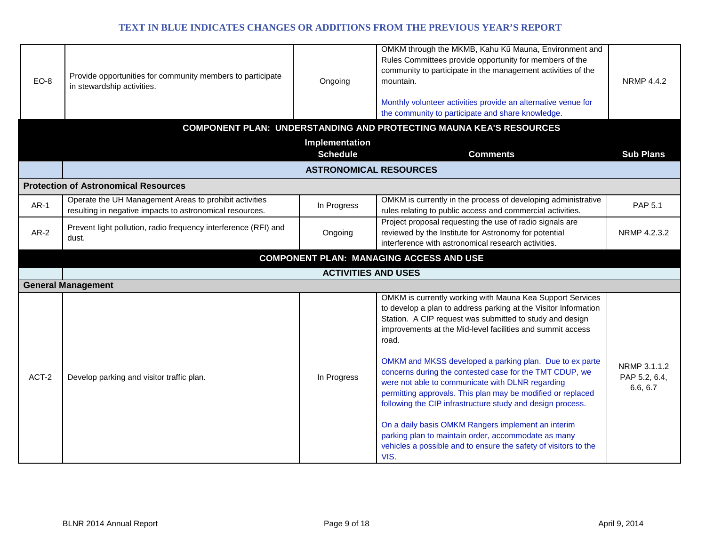| $EO-8$ | Provide opportunities for community members to participate<br>in stewardship activities.                           | Ongoing                       | OMKM through the MKMB, Kahu Kū Mauna, Environment and<br>Rules Committees provide opportunity for members of the<br>community to participate in the management activities of the<br>mountain.<br>Monthly volunteer activities provide an alternative venue for<br>the community to participate and share knowledge.                                                                                                                                                                                                                                                                                                                                                                                                                                            | <b>NRMP 4.4.2</b>                         |
|--------|--------------------------------------------------------------------------------------------------------------------|-------------------------------|----------------------------------------------------------------------------------------------------------------------------------------------------------------------------------------------------------------------------------------------------------------------------------------------------------------------------------------------------------------------------------------------------------------------------------------------------------------------------------------------------------------------------------------------------------------------------------------------------------------------------------------------------------------------------------------------------------------------------------------------------------------|-------------------------------------------|
|        |                                                                                                                    |                               | <b>COMPONENT PLAN: UNDERSTANDING AND PROTECTING MAUNA KEA'S RESOURCES</b>                                                                                                                                                                                                                                                                                                                                                                                                                                                                                                                                                                                                                                                                                      |                                           |
|        |                                                                                                                    | Implementation                |                                                                                                                                                                                                                                                                                                                                                                                                                                                                                                                                                                                                                                                                                                                                                                |                                           |
|        |                                                                                                                    | <b>Schedule</b>               | <b>Comments</b>                                                                                                                                                                                                                                                                                                                                                                                                                                                                                                                                                                                                                                                                                                                                                | <b>Sub Plans</b>                          |
|        |                                                                                                                    | <b>ASTRONOMICAL RESOURCES</b> |                                                                                                                                                                                                                                                                                                                                                                                                                                                                                                                                                                                                                                                                                                                                                                |                                           |
|        | <b>Protection of Astronomical Resources</b>                                                                        |                               |                                                                                                                                                                                                                                                                                                                                                                                                                                                                                                                                                                                                                                                                                                                                                                |                                           |
| $AR-1$ | Operate the UH Management Areas to prohibit activities<br>resulting in negative impacts to astronomical resources. | In Progress                   | OMKM is currently in the process of developing administrative<br>rules relating to public access and commercial activities.                                                                                                                                                                                                                                                                                                                                                                                                                                                                                                                                                                                                                                    | <b>PAP 5.1</b>                            |
| $AR-2$ | Prevent light pollution, radio frequency interference (RFI) and<br>dust.                                           | Ongoing                       | Project proposal requesting the use of radio signals are<br>reviewed by the Institute for Astronomy for potential<br>interference with astronomical research activities.                                                                                                                                                                                                                                                                                                                                                                                                                                                                                                                                                                                       | NRMP 4.2.3.2                              |
|        |                                                                                                                    |                               | <b>COMPONENT PLAN: MANAGING ACCESS AND USE</b>                                                                                                                                                                                                                                                                                                                                                                                                                                                                                                                                                                                                                                                                                                                 |                                           |
|        |                                                                                                                    | <b>ACTIVITIES AND USES</b>    |                                                                                                                                                                                                                                                                                                                                                                                                                                                                                                                                                                                                                                                                                                                                                                |                                           |
|        | <b>General Management</b>                                                                                          |                               |                                                                                                                                                                                                                                                                                                                                                                                                                                                                                                                                                                                                                                                                                                                                                                |                                           |
| ACT-2  | Develop parking and visitor traffic plan.                                                                          | In Progress                   | OMKM is currently working with Mauna Kea Support Services<br>to develop a plan to address parking at the Visitor Information<br>Station. A CIP request was submitted to study and design<br>improvements at the Mid-level facilities and summit access<br>road.<br>OMKM and MKSS developed a parking plan. Due to ex parte<br>concerns during the contested case for the TMT CDUP, we<br>were not able to communicate with DLNR regarding<br>permitting approvals. This plan may be modified or replaced<br>following the CIP infrastructure study and design process.<br>On a daily basis OMKM Rangers implement an interim<br>parking plan to maintain order, accommodate as many<br>vehicles a possible and to ensure the safety of visitors to the<br>VIS. | NRMP 3.1.1.2<br>PAP 5.2, 6.4,<br>6.6, 6.7 |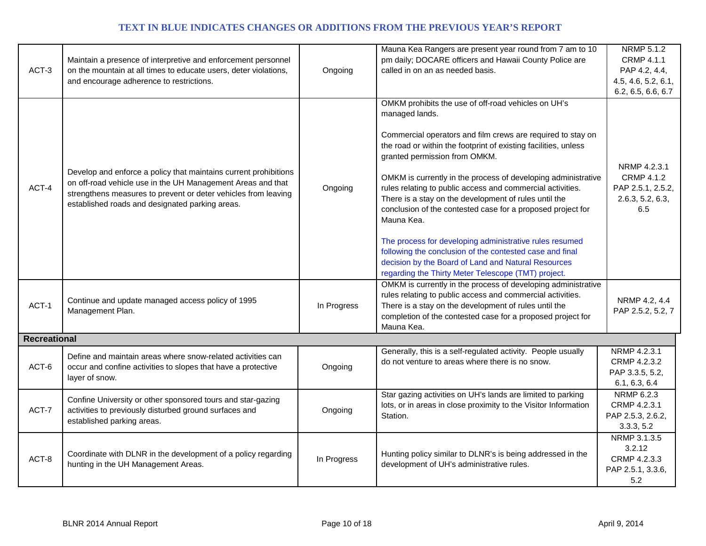| ACT-3               | Maintain a presence of interpretive and enforcement personnel<br>on the mountain at all times to educate users, deter violations,<br>and encourage adherence to restrictions.                                                                        | Ongoing     | Mauna Kea Rangers are present year round from 7 am to 10<br>pm daily; DOCARE officers and Hawaii County Police are<br>called in on an as needed basis.                                                                                                                                                                                                                                                                                                                                                                                                                                                                                                                                                                                             | <b>NRMP 5.1.2</b><br><b>CRMP 4.1.1</b><br>PAP 4.2, 4.4,<br>4.5, 4.6, 5.2, 6.1,<br>6.2, 6.5, 6.6, 6.7 |
|---------------------|------------------------------------------------------------------------------------------------------------------------------------------------------------------------------------------------------------------------------------------------------|-------------|----------------------------------------------------------------------------------------------------------------------------------------------------------------------------------------------------------------------------------------------------------------------------------------------------------------------------------------------------------------------------------------------------------------------------------------------------------------------------------------------------------------------------------------------------------------------------------------------------------------------------------------------------------------------------------------------------------------------------------------------------|------------------------------------------------------------------------------------------------------|
| ACT-4               | Develop and enforce a policy that maintains current prohibitions<br>on off-road vehicle use in the UH Management Areas and that<br>strengthens measures to prevent or deter vehicles from leaving<br>established roads and designated parking areas. | Ongoing     | OMKM prohibits the use of off-road vehicles on UH's<br>managed lands.<br>Commercial operators and film crews are required to stay on<br>the road or within the footprint of existing facilities, unless<br>granted permission from OMKM.<br>OMKM is currently in the process of developing administrative<br>rules relating to public access and commercial activities.<br>There is a stay on the development of rules until the<br>conclusion of the contested case for a proposed project for<br>Mauna Kea.<br>The process for developing administrative rules resumed<br>following the conclusion of the contested case and final<br>decision by the Board of Land and Natural Resources<br>regarding the Thirty Meter Telescope (TMT) project. | NRMP 4.2.3.1<br>CRMP 4.1.2<br>PAP 2.5.1, 2.5.2,<br>2.6.3, 5.2, 6.3,<br>6.5                           |
| ACT-1               | Continue and update managed access policy of 1995<br>Management Plan.                                                                                                                                                                                | In Progress | OMKM is currently in the process of developing administrative<br>rules relating to public access and commercial activities.<br>There is a stay on the development of rules until the<br>completion of the contested case for a proposed project for<br>Mauna Kea.                                                                                                                                                                                                                                                                                                                                                                                                                                                                                  | NRMP 4.2, 4.4<br>PAP 2.5.2, 5.2, 7                                                                   |
| <b>Recreational</b> |                                                                                                                                                                                                                                                      |             |                                                                                                                                                                                                                                                                                                                                                                                                                                                                                                                                                                                                                                                                                                                                                    |                                                                                                      |
| ACT-6               | Define and maintain areas where snow-related activities can<br>occur and confine activities to slopes that have a protective<br>layer of snow.                                                                                                       | Ongoing     | Generally, this is a self-regulated activity. People usually<br>do not venture to areas where there is no snow.                                                                                                                                                                                                                                                                                                                                                                                                                                                                                                                                                                                                                                    | NRMP 4.2.3.1<br>CRMP 4.2.3.2<br>PAP 3.3.5, 5.2,<br>6.1, 6.3, 6.4                                     |
| ACT-7               | Confine University or other sponsored tours and star-gazing<br>activities to previously disturbed ground surfaces and<br>established parking areas.                                                                                                  | Ongoing     | Star gazing activities on UH's lands are limited to parking<br>lots, or in areas in close proximity to the Visitor Information<br>Station.                                                                                                                                                                                                                                                                                                                                                                                                                                                                                                                                                                                                         | <b>NRMP 6.2.3</b><br>CRMP 4.2.3.1<br>PAP 2.5.3, 2.6.2,<br>3.3.3, 5.2                                 |
| ACT-8               | Coordinate with DLNR in the development of a policy regarding<br>hunting in the UH Management Areas.                                                                                                                                                 | In Progress | Hunting policy similar to DLNR's is being addressed in the<br>development of UH's administrative rules.                                                                                                                                                                                                                                                                                                                                                                                                                                                                                                                                                                                                                                            | NRMP 3.1.3.5<br>3.2.12<br>CRMP 4.2.3.3<br>PAP 2.5.1, 3.3.6,<br>5.2                                   |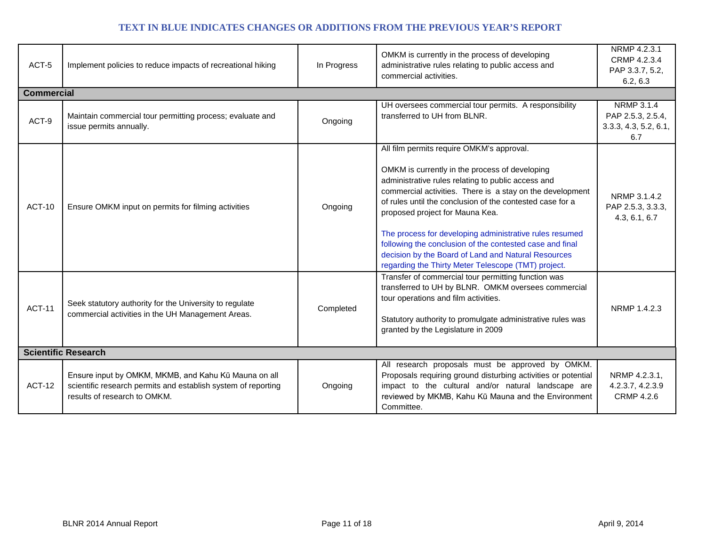| ACT-5             | Implement policies to reduce impacts of recreational hiking                                                                                           | In Progress | OMKM is currently in the process of developing<br>administrative rules relating to public access and<br>commercial activities.                                                                                                                                                                                                                                                                                                                                                                                                                      | NRMP 4.2.3.1<br>CRMP 4.2.3.4<br>PAP 3.3.7, 5.2,<br>6.2, 6.3     |
|-------------------|-------------------------------------------------------------------------------------------------------------------------------------------------------|-------------|-----------------------------------------------------------------------------------------------------------------------------------------------------------------------------------------------------------------------------------------------------------------------------------------------------------------------------------------------------------------------------------------------------------------------------------------------------------------------------------------------------------------------------------------------------|-----------------------------------------------------------------|
| <b>Commercial</b> |                                                                                                                                                       |             |                                                                                                                                                                                                                                                                                                                                                                                                                                                                                                                                                     |                                                                 |
| ACT-9             | Maintain commercial tour permitting process; evaluate and<br>issue permits annually.                                                                  | Ongoing     | UH oversees commercial tour permits. A responsibility<br>transferred to UH from BLNR.                                                                                                                                                                                                                                                                                                                                                                                                                                                               | NRMP 3.1.4<br>PAP 2.5.3, 2.5.4,<br>3.3.3, 4.3, 5.2, 6.1,<br>6.7 |
| <b>ACT-10</b>     | Ensure OMKM input on permits for filming activities                                                                                                   | Ongoing     | All film permits require OMKM's approval.<br>OMKM is currently in the process of developing<br>administrative rules relating to public access and<br>commercial activities. There is a stay on the development<br>of rules until the conclusion of the contested case for a<br>proposed project for Mauna Kea.<br>The process for developing administrative rules resumed<br>following the conclusion of the contested case and final<br>decision by the Board of Land and Natural Resources<br>regarding the Thirty Meter Telescope (TMT) project. | NRMP 3.1.4.2<br>PAP 2.5.3, 3.3.3,<br>4.3, 6.1, 6.7              |
| <b>ACT-11</b>     | Seek statutory authority for the University to regulate<br>commercial activities in the UH Management Areas.                                          | Completed   | Transfer of commercial tour permitting function was<br>transferred to UH by BLNR. OMKM oversees commercial<br>tour operations and film activities.<br>Statutory authority to promulgate administrative rules was<br>granted by the Legislature in 2009                                                                                                                                                                                                                                                                                              | NRMP 1.4.2.3                                                    |
|                   | <b>Scientific Research</b>                                                                                                                            |             |                                                                                                                                                                                                                                                                                                                                                                                                                                                                                                                                                     |                                                                 |
| ACT-12            | Ensure input by OMKM, MKMB, and Kahu Kū Mauna on all<br>scientific research permits and establish system of reporting<br>results of research to OMKM. | Ongoing     | All research proposals must be approved by OMKM.<br>Proposals requiring ground disturbing activities or potential<br>impact to the cultural and/or natural landscape are<br>reviewed by MKMB, Kahu Kū Mauna and the Environment<br>Committee.                                                                                                                                                                                                                                                                                                       | NRMP 4.2.3.1,<br>4.2.3.7, 4.2.3.9<br><b>CRMP 4.2.6</b>          |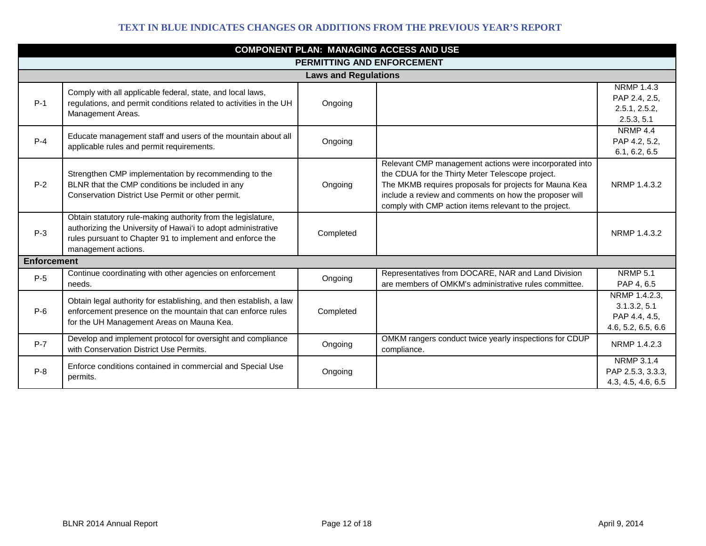|                    | <b>COMPONENT PLAN: MANAGING ACCESS AND USE</b>                                                                                                                                                                    |                             |                                                                                                                                                                                                                                                                                         |                                                                      |
|--------------------|-------------------------------------------------------------------------------------------------------------------------------------------------------------------------------------------------------------------|-----------------------------|-----------------------------------------------------------------------------------------------------------------------------------------------------------------------------------------------------------------------------------------------------------------------------------------|----------------------------------------------------------------------|
|                    |                                                                                                                                                                                                                   | PERMITTING AND ENFORCEMENT  |                                                                                                                                                                                                                                                                                         |                                                                      |
|                    |                                                                                                                                                                                                                   | <b>Laws and Regulations</b> |                                                                                                                                                                                                                                                                                         |                                                                      |
| $P-1$              | Comply with all applicable federal, state, and local laws,<br>regulations, and permit conditions related to activities in the UH<br>Management Areas.                                                             | Ongoing                     |                                                                                                                                                                                                                                                                                         | <b>NRMP 1.4.3</b><br>PAP 2.4, 2.5,<br>2.5.1, 2.5.2,<br>2.5.3, 5.1    |
| $P-4$              | Educate management staff and users of the mountain about all<br>applicable rules and permit requirements.                                                                                                         | Ongoing                     |                                                                                                                                                                                                                                                                                         | NRMP 4.4<br>PAP 4.2, 5.2,<br>6.1, 6.2, 6.5                           |
| $P-2$              | Strengthen CMP implementation by recommending to the<br>BLNR that the CMP conditions be included in any<br>Conservation District Use Permit or other permit.                                                      | Ongoing                     | Relevant CMP management actions were incorporated into<br>the CDUA for the Thirty Meter Telescope project.<br>The MKMB requires proposals for projects for Mauna Kea<br>include a review and comments on how the proposer will<br>comply with CMP action items relevant to the project. | NRMP 1.4.3.2                                                         |
| $P-3$              | Obtain statutory rule-making authority from the legislature,<br>authorizing the University of Hawai'i to adopt administrative<br>rules pursuant to Chapter 91 to implement and enforce the<br>management actions. | Completed                   |                                                                                                                                                                                                                                                                                         | NRMP 1.4.3.2                                                         |
| <b>Enforcement</b> |                                                                                                                                                                                                                   |                             |                                                                                                                                                                                                                                                                                         |                                                                      |
| $P-5$              | Continue coordinating with other agencies on enforcement<br>needs.                                                                                                                                                | Ongoing                     | Representatives from DOCARE, NAR and Land Division<br>are members of OMKM's administrative rules committee.                                                                                                                                                                             | <b>NRMP 5.1</b><br>PAP 4, 6.5                                        |
| $P-6$              | Obtain legal authority for establishing, and then establish, a law<br>enforcement presence on the mountain that can enforce rules<br>for the UH Management Areas on Mauna Kea.                                    | Completed                   |                                                                                                                                                                                                                                                                                         | NRMP 1.4.2.3,<br>3.1.3.2, 5.1<br>PAP 4.4, 4.5,<br>4.6, 5.2, 6.5, 6.6 |
| $P-7$              | Develop and implement protocol for oversight and compliance<br>with Conservation District Use Permits.                                                                                                            | Ongoing                     | OMKM rangers conduct twice yearly inspections for CDUP<br>compliance.                                                                                                                                                                                                                   | NRMP 1.4.2.3                                                         |
| $P-8$              | Enforce conditions contained in commercial and Special Use<br>permits.                                                                                                                                            | Ongoing                     |                                                                                                                                                                                                                                                                                         | <b>NRMP 3.1.4</b><br>PAP 2.5.3, 3.3.3,<br>4.3, 4.5, 4.6, 6.5         |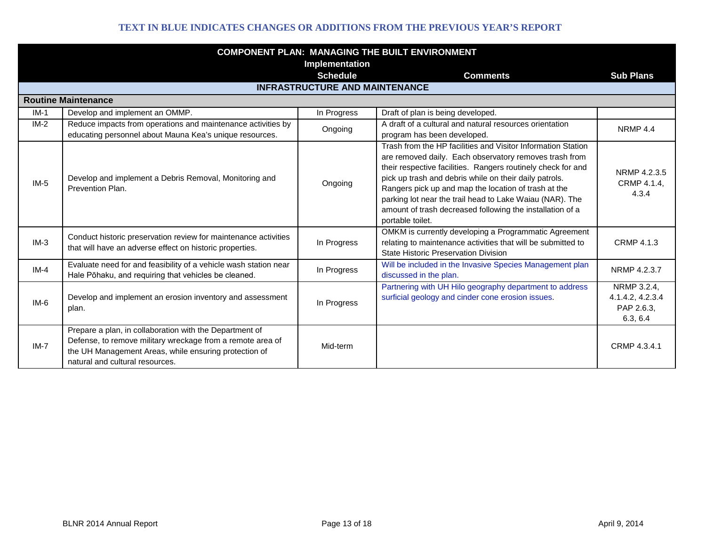|        |                                                                                                                                                                                                                   | Implementation                        | <b>COMPONENT PLAN: MANAGING THE BUILT ENVIRONMENT</b>                                                                                                                                                                                                                                                                                                                                                                                                 |                                                           |
|--------|-------------------------------------------------------------------------------------------------------------------------------------------------------------------------------------------------------------------|---------------------------------------|-------------------------------------------------------------------------------------------------------------------------------------------------------------------------------------------------------------------------------------------------------------------------------------------------------------------------------------------------------------------------------------------------------------------------------------------------------|-----------------------------------------------------------|
|        |                                                                                                                                                                                                                   | <b>Schedule</b>                       | <b>Comments</b>                                                                                                                                                                                                                                                                                                                                                                                                                                       | <b>Sub Plans</b>                                          |
|        |                                                                                                                                                                                                                   | <b>INFRASTRUCTURE AND MAINTENANCE</b> |                                                                                                                                                                                                                                                                                                                                                                                                                                                       |                                                           |
|        | <b>Routine Maintenance</b>                                                                                                                                                                                        |                                       |                                                                                                                                                                                                                                                                                                                                                                                                                                                       |                                                           |
| $IM-1$ | Develop and implement an OMMP.                                                                                                                                                                                    | In Progress                           | Draft of plan is being developed.                                                                                                                                                                                                                                                                                                                                                                                                                     |                                                           |
| $IM-2$ | Reduce impacts from operations and maintenance activities by<br>educating personnel about Mauna Kea's unique resources.                                                                                           | Ongoing                               | A draft of a cultural and natural resources orientation<br>program has been developed.                                                                                                                                                                                                                                                                                                                                                                | NRMP 4.4                                                  |
| $IM-5$ | Develop and implement a Debris Removal, Monitoring and<br>Prevention Plan.                                                                                                                                        | Ongoing                               | Trash from the HP facilities and Visitor Information Station<br>are removed daily. Each observatory removes trash from<br>their respective facilities. Rangers routinely check for and<br>pick up trash and debris while on their daily patrols.<br>Rangers pick up and map the location of trash at the<br>parking lot near the trail head to Lake Waiau (NAR). The<br>amount of trash decreased following the installation of a<br>portable toilet. | NRMP 4.2.3.5<br>CRMP 4.1.4,<br>4.3.4                      |
| $IM-3$ | Conduct historic preservation review for maintenance activities<br>that will have an adverse effect on historic properties.                                                                                       | In Progress                           | OMKM is currently developing a Programmatic Agreement<br>relating to maintenance activities that will be submitted to<br><b>State Historic Preservation Division</b>                                                                                                                                                                                                                                                                                  | CRMP 4.1.3                                                |
| $IM-4$ | Evaluate need for and feasibility of a vehicle wash station near<br>Hale Pōhaku, and requiring that vehicles be cleaned.                                                                                          | In Progress                           | Will be included in the Invasive Species Management plan<br>discussed in the plan.                                                                                                                                                                                                                                                                                                                                                                    | NRMP 4.2.3.7                                              |
| $IM-6$ | Develop and implement an erosion inventory and assessment<br>plan.                                                                                                                                                | In Progress                           | Partnering with UH Hilo geography department to address<br>surficial geology and cinder cone erosion issues.                                                                                                                                                                                                                                                                                                                                          | NRMP 3.2.4,<br>4.1.4.2, 4.2.3.4<br>PAP 2.6.3,<br>6.3, 6.4 |
| $IM-7$ | Prepare a plan, in collaboration with the Department of<br>Defense, to remove military wreckage from a remote area of<br>the UH Management Areas, while ensuring protection of<br>natural and cultural resources. | Mid-term                              |                                                                                                                                                                                                                                                                                                                                                                                                                                                       | CRMP 4.3.4.1                                              |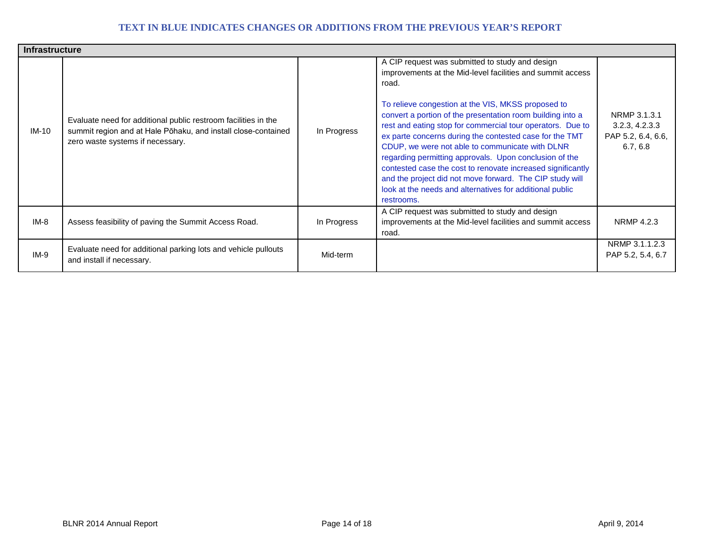| <b>Infrastructure</b> |                                                                                                                                                                     |             |                                                                                                                                                                                                                                                                                                                                                                                                                                                                                                                                                                                                                                                                                       |                                                                  |
|-----------------------|---------------------------------------------------------------------------------------------------------------------------------------------------------------------|-------------|---------------------------------------------------------------------------------------------------------------------------------------------------------------------------------------------------------------------------------------------------------------------------------------------------------------------------------------------------------------------------------------------------------------------------------------------------------------------------------------------------------------------------------------------------------------------------------------------------------------------------------------------------------------------------------------|------------------------------------------------------------------|
| IM-10                 | Evaluate need for additional public restroom facilities in the<br>summit region and at Hale Pōhaku, and install close-contained<br>zero waste systems if necessary. | In Progress | A CIP request was submitted to study and design<br>improvements at the Mid-level facilities and summit access<br>road.<br>To relieve congestion at the VIS, MKSS proposed to<br>convert a portion of the presentation room building into a<br>rest and eating stop for commercial tour operators. Due to<br>ex parte concerns during the contested case for the TMT<br>CDUP, we were not able to communicate with DLNR<br>regarding permitting approvals. Upon conclusion of the<br>contested case the cost to renovate increased significantly<br>and the project did not move forward. The CIP study will<br>look at the needs and alternatives for additional public<br>restrooms. | NRMP 3.1.3.1<br>3.2.3, 4.2.3.3<br>PAP 5.2, 6.4, 6.6,<br>6.7, 6.8 |
| $IM-8$                | Assess feasibility of paving the Summit Access Road.                                                                                                                | In Progress | A CIP request was submitted to study and design<br>improvements at the Mid-level facilities and summit access<br>road.                                                                                                                                                                                                                                                                                                                                                                                                                                                                                                                                                                | <b>NRMP 4.2.3</b>                                                |
| $IM-9$                | Evaluate need for additional parking lots and vehicle pullouts<br>and install if necessary.                                                                         | Mid-term    |                                                                                                                                                                                                                                                                                                                                                                                                                                                                                                                                                                                                                                                                                       | NRMP 3.1.1.2.3<br>PAP 5.2, 5.4, 6.7                              |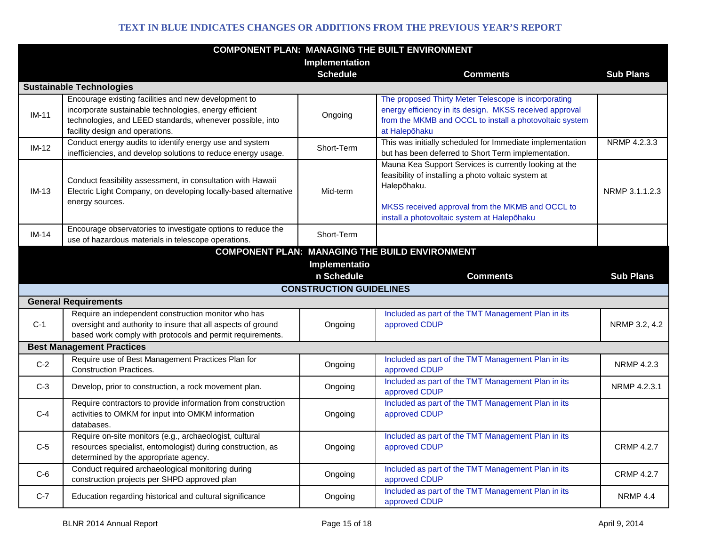| <b>COMPONENT PLAN: MANAGING THE BUILT ENVIRONMENT</b> |                                                                                                                                                                                  |                                |                                                                                                                                                                                  |                   |  |
|-------------------------------------------------------|----------------------------------------------------------------------------------------------------------------------------------------------------------------------------------|--------------------------------|----------------------------------------------------------------------------------------------------------------------------------------------------------------------------------|-------------------|--|
|                                                       |                                                                                                                                                                                  | Implementation                 |                                                                                                                                                                                  |                   |  |
|                                                       |                                                                                                                                                                                  | <b>Schedule</b>                | <b>Comments</b>                                                                                                                                                                  | <b>Sub Plans</b>  |  |
|                                                       | <b>Sustainable Technologies</b>                                                                                                                                                  |                                |                                                                                                                                                                                  |                   |  |
|                                                       | Encourage existing facilities and new development to                                                                                                                             |                                | The proposed Thirty Meter Telescope is incorporating                                                                                                                             |                   |  |
| $IM-11$                                               | incorporate sustainable technologies, energy efficient                                                                                                                           | Ongoing                        | energy efficiency in its design. MKSS received approval                                                                                                                          |                   |  |
|                                                       | technologies, and LEED standards, whenever possible, into                                                                                                                        |                                | from the MKMB and OCCL to install a photovoltaic system                                                                                                                          |                   |  |
|                                                       | facility design and operations.                                                                                                                                                  |                                | at Halepōhaku                                                                                                                                                                    |                   |  |
| $IM-12$                                               | Conduct energy audits to identify energy use and system<br>inefficiencies, and develop solutions to reduce energy usage.                                                         | Short-Term                     | This was initially scheduled for Immediate implementation<br>but has been deferred to Short Term implementation.                                                                 | NRMP 4.2.3.3      |  |
| $IM-13$                                               | Conduct feasibility assessment, in consultation with Hawaii<br>Electric Light Company, on developing locally-based alternative<br>energy sources.                                | Mid-term                       | Mauna Kea Support Services is currently looking at the<br>feasibility of installing a photo voltaic system at<br>Halepōhaku.<br>MKSS received approval from the MKMB and OCCL to | NRMP 3.1.1.2.3    |  |
|                                                       |                                                                                                                                                                                  |                                | install a photovoltaic system at Halepōhaku                                                                                                                                      |                   |  |
| $IM-14$                                               | Encourage observatories to investigate options to reduce the<br>use of hazardous materials in telescope operations.                                                              | Short-Term                     |                                                                                                                                                                                  |                   |  |
|                                                       |                                                                                                                                                                                  |                                | <b>COMPONENT PLAN: MANAGING THE BUILD ENVIRONMENT</b>                                                                                                                            |                   |  |
|                                                       |                                                                                                                                                                                  | Implementatio                  |                                                                                                                                                                                  |                   |  |
|                                                       |                                                                                                                                                                                  | n Schedule                     | <b>Comments</b>                                                                                                                                                                  | <b>Sub Plans</b>  |  |
|                                                       |                                                                                                                                                                                  | <b>CONSTRUCTION GUIDELINES</b> |                                                                                                                                                                                  |                   |  |
|                                                       | <b>General Requirements</b>                                                                                                                                                      |                                |                                                                                                                                                                                  |                   |  |
| $C-1$                                                 | Require an independent construction monitor who has<br>oversight and authority to insure that all aspects of ground<br>based work comply with protocols and permit requirements. | Ongoing                        | Included as part of the TMT Management Plan in its<br>approved CDUP                                                                                                              | NRMP 3.2, 4.2     |  |
|                                                       | <b>Best Management Practices</b>                                                                                                                                                 |                                |                                                                                                                                                                                  |                   |  |
| $C-2$                                                 | Require use of Best Management Practices Plan for<br><b>Construction Practices.</b>                                                                                              | Ongoing                        | Included as part of the TMT Management Plan in its<br>approved CDUP                                                                                                              | <b>NRMP 4.2.3</b> |  |
| $C-3$                                                 | Develop, prior to construction, a rock movement plan.                                                                                                                            | Ongoing                        | Included as part of the TMT Management Plan in its<br>approved CDUP                                                                                                              | NRMP 4.2.3.1      |  |
| $C-4$                                                 | Require contractors to provide information from construction<br>activities to OMKM for input into OMKM information<br>databases.                                                 | Ongoing                        | Included as part of the TMT Management Plan in its<br>approved CDUP                                                                                                              |                   |  |
| $C-5$                                                 | Require on-site monitors (e.g., archaeologist, cultural<br>resources specialist, entomologist) during construction, as<br>determined by the appropriate agency.                  | Ongoing                        | Included as part of the TMT Management Plan in its<br>approved CDUP                                                                                                              | <b>CRMP 4.2.7</b> |  |
| $C-6$                                                 | Conduct required archaeological monitoring during<br>construction projects per SHPD approved plan                                                                                | Ongoing                        | Included as part of the TMT Management Plan in its<br>approved CDUP                                                                                                              | <b>CRMP 4.2.7</b> |  |
| $C-7$                                                 | Education regarding historical and cultural significance                                                                                                                         | Ongoing                        | Included as part of the TMT Management Plan in its<br>approved CDUP                                                                                                              | NRMP 4.4          |  |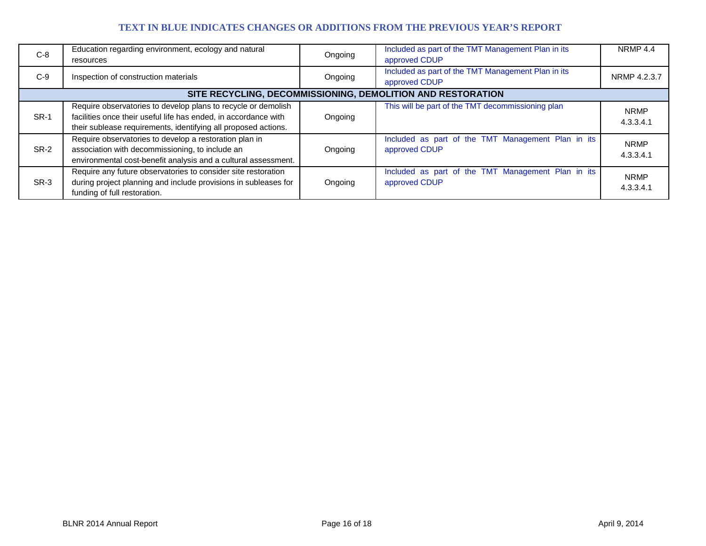| $C-8$                                                       | Education regarding environment, ecology and natural<br>resources                                                                                                                                  | Ongoing | Included as part of the TMT Management Plan in its<br>approved CDUP | <b>NRMP 4.4</b>          |
|-------------------------------------------------------------|----------------------------------------------------------------------------------------------------------------------------------------------------------------------------------------------------|---------|---------------------------------------------------------------------|--------------------------|
| $C-9$                                                       | Inspection of construction materials                                                                                                                                                               | Ongoing | Included as part of the TMT Management Plan in its<br>approved CDUP | NRMP 4.2.3.7             |
| SITE RECYCLING, DECOMMISSIONING, DEMOLITION AND RESTORATION |                                                                                                                                                                                                    |         |                                                                     |                          |
| <b>SR-1</b>                                                 | Require observatories to develop plans to recycle or demolish<br>facilities once their useful life has ended, in accordance with<br>their sublease requirements, identifying all proposed actions. | Ongoing | This will be part of the TMT decommissioning plan                   | <b>NRMP</b><br>4.3.3.4.1 |
| SR-2                                                        | Require observatories to develop a restoration plan in<br>association with decommissioning, to include an<br>environmental cost-benefit analysis and a cultural assessment.                        | Ongoing | Included as part of the TMT Management Plan in its<br>approved CDUP | <b>NRMP</b><br>4.3.3.4.1 |
| SR-3                                                        | Require any future observatories to consider site restoration<br>during project planning and include provisions in subleases for<br>funding of full restoration.                                   | Ongoing | Included as part of the TMT Management Plan in its<br>approved CDUP | <b>NRMP</b><br>4.3.3.4.1 |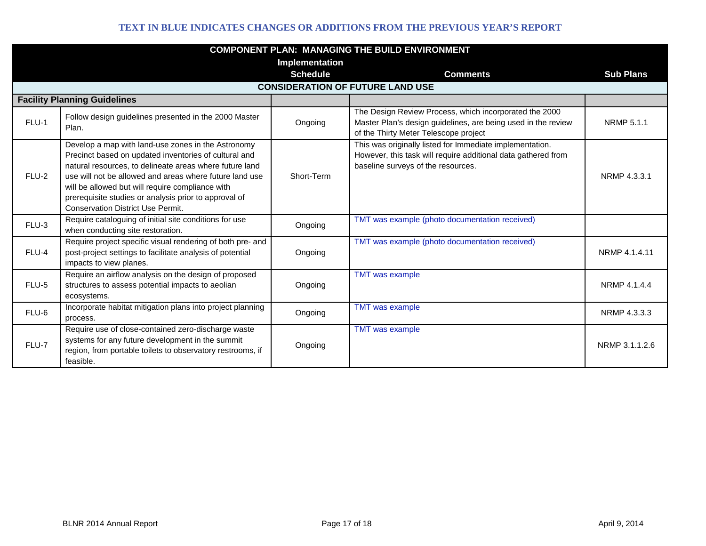|                                     | <b>COMPONENT PLAN: MANAGING THE BUILD ENVIRONMENT</b>                                                                                                                                                                                                                                                                                                                                      |                 |                                                                                                                                                                  |                  |  |
|-------------------------------------|--------------------------------------------------------------------------------------------------------------------------------------------------------------------------------------------------------------------------------------------------------------------------------------------------------------------------------------------------------------------------------------------|-----------------|------------------------------------------------------------------------------------------------------------------------------------------------------------------|------------------|--|
|                                     |                                                                                                                                                                                                                                                                                                                                                                                            | Implementation  |                                                                                                                                                                  |                  |  |
|                                     |                                                                                                                                                                                                                                                                                                                                                                                            | <b>Schedule</b> | <b>Comments</b>                                                                                                                                                  | <b>Sub Plans</b> |  |
|                                     |                                                                                                                                                                                                                                                                                                                                                                                            |                 | <b>CONSIDERATION OF FUTURE LAND USE</b>                                                                                                                          |                  |  |
| <b>Facility Planning Guidelines</b> |                                                                                                                                                                                                                                                                                                                                                                                            |                 |                                                                                                                                                                  |                  |  |
| FLU-1                               | Follow design guidelines presented in the 2000 Master<br>Plan.                                                                                                                                                                                                                                                                                                                             | Ongoing         | The Design Review Process, which incorporated the 2000<br>Master Plan's design guidelines, are being used in the review<br>of the Thirty Meter Telescope project | NRMP 5.1.1       |  |
| FLU-2                               | Develop a map with land-use zones in the Astronomy<br>Precinct based on updated inventories of cultural and<br>natural resources, to delineate areas where future land<br>use will not be allowed and areas where future land use<br>will be allowed but will require compliance with<br>prerequisite studies or analysis prior to approval of<br><b>Conservation District Use Permit.</b> | Short-Term      | This was originally listed for Immediate implementation.<br>However, this task will require additional data gathered from<br>baseline surveys of the resources.  | NRMP 4.3.3.1     |  |
| FLU-3                               | Require cataloguing of initial site conditions for use<br>when conducting site restoration.                                                                                                                                                                                                                                                                                                | Ongoing         | TMT was example (photo documentation received)                                                                                                                   |                  |  |
| FLU-4                               | Require project specific visual rendering of both pre- and<br>post-project settings to facilitate analysis of potential<br>impacts to view planes.                                                                                                                                                                                                                                         | Ongoing         | TMT was example (photo documentation received)                                                                                                                   | NRMP 4.1.4.11    |  |
| FLU-5                               | Require an airflow analysis on the design of proposed<br>structures to assess potential impacts to aeolian<br>ecosystems.                                                                                                                                                                                                                                                                  | Ongoing         | <b>TMT</b> was example                                                                                                                                           | NRMP 4.1.4.4     |  |
| FLU-6                               | Incorporate habitat mitigation plans into project planning<br>process.                                                                                                                                                                                                                                                                                                                     | Ongoing         | <b>TMT</b> was example                                                                                                                                           | NRMP 4.3.3.3     |  |
| FLU-7                               | Require use of close-contained zero-discharge waste<br>systems for any future development in the summit<br>region, from portable toilets to observatory restrooms, if<br>feasible.                                                                                                                                                                                                         | Ongoing         | <b>TMT</b> was example                                                                                                                                           | NRMP 3.1.1.2.6   |  |